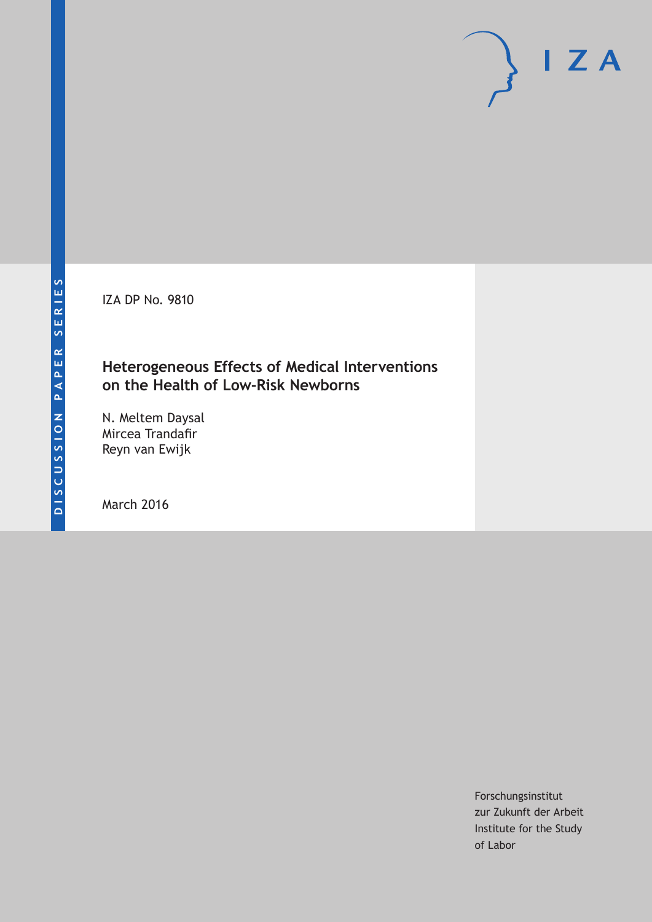IZA DP No. 9810

## **Heterogeneous Effects of Medical Interventions on the Health of Low-Risk Newborns**

N. Meltem Daysal Mircea Trandafir Reyn van Ewijk

March 2016

Forschungsinstitut zur Zukunft der Arbeit Institute for the Study of Labor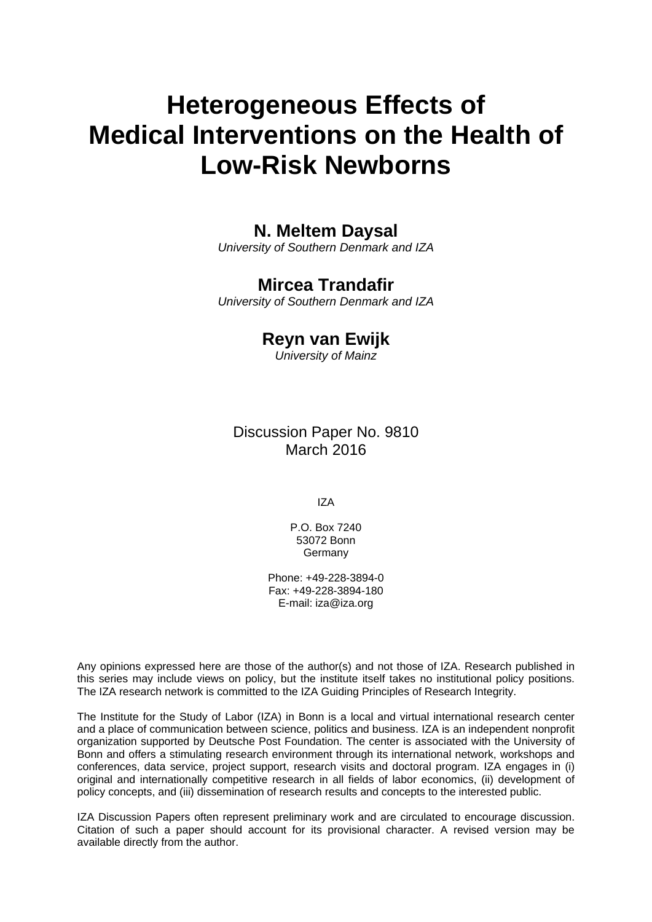# **Heterogeneous Effects of Medical Interventions on the Health of Low-Risk Newborns**

#### **N. Meltem Daysal**

*University of Southern Denmark and IZA* 

## **Mircea Trandafir**

*University of Southern Denmark and IZA* 

#### **Reyn van Ewijk**

*University of Mainz*

Discussion Paper No. 9810 March 2016

IZA

P.O. Box 7240 53072 Bonn Germany

Phone: +49-228-3894-0 Fax: +49-228-3894-180 E-mail: iza@iza.org

Any opinions expressed here are those of the author(s) and not those of IZA. Research published in this series may include views on policy, but the institute itself takes no institutional policy positions. The IZA research network is committed to the IZA Guiding Principles of Research Integrity.

The Institute for the Study of Labor (IZA) in Bonn is a local and virtual international research center and a place of communication between science, politics and business. IZA is an independent nonprofit organization supported by Deutsche Post Foundation. The center is associated with the University of Bonn and offers a stimulating research environment through its international network, workshops and conferences, data service, project support, research visits and doctoral program. IZA engages in (i) original and internationally competitive research in all fields of labor economics, (ii) development of policy concepts, and (iii) dissemination of research results and concepts to the interested public.

IZA Discussion Papers often represent preliminary work and are circulated to encourage discussion. Citation of such a paper should account for its provisional character. A revised version may be available directly from the author.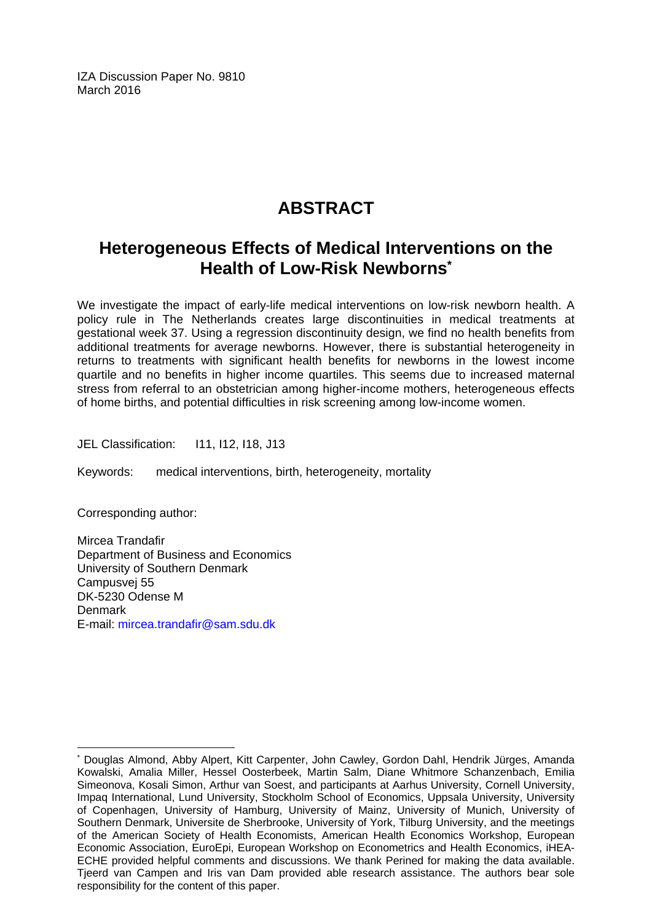IZA Discussion Paper No. 9810 March 2016

## **ABSTRACT**

## **Heterogeneous Effects of Medical Interventions on the Health of Low-Risk Newborns\***

We investigate the impact of early-life medical interventions on low-risk newborn health. A policy rule in The Netherlands creates large discontinuities in medical treatments at gestational week 37. Using a regression discontinuity design, we find no health benefits from additional treatments for average newborns. However, there is substantial heterogeneity in returns to treatments with significant health benefits for newborns in the lowest income quartile and no benefits in higher income quartiles. This seems due to increased maternal stress from referral to an obstetrician among higher-income mothers, heterogeneous effects of home births, and potential difficulties in risk screening among low-income women.

JEL Classification: I11, I12, I18, J13

Keywords: medical interventions, birth, heterogeneity, mortality

Corresponding author:

 $\overline{a}$ 

Mircea Trandafir Department of Business and Economics University of Southern Denmark Campusvej 55 DK-5230 Odense M Denmark E-mail: mircea.trandafir@sam.sdu.dk

<sup>\*</sup> Douglas Almond, Abby Alpert, Kitt Carpenter, John Cawley, Gordon Dahl, Hendrik Jürges, Amanda Kowalski, Amalia Miller, Hessel Oosterbeek, Martin Salm, Diane Whitmore Schanzenbach, Emilia Simeonova, Kosali Simon, Arthur van Soest, and participants at Aarhus University, Cornell University, Impaq International, Lund University, Stockholm School of Economics, Uppsala University, University of Copenhagen, University of Hamburg, University of Mainz, University of Munich, University of Southern Denmark, Universite de Sherbrooke, University of York, Tilburg University, and the meetings of the American Society of Health Economists, American Health Economics Workshop, European Economic Association, EuroEpi, European Workshop on Econometrics and Health Economics, iHEA-ECHE provided helpful comments and discussions. We thank Perined for making the data available. Tjeerd van Campen and Iris van Dam provided able research assistance. The authors bear sole responsibility for the content of this paper.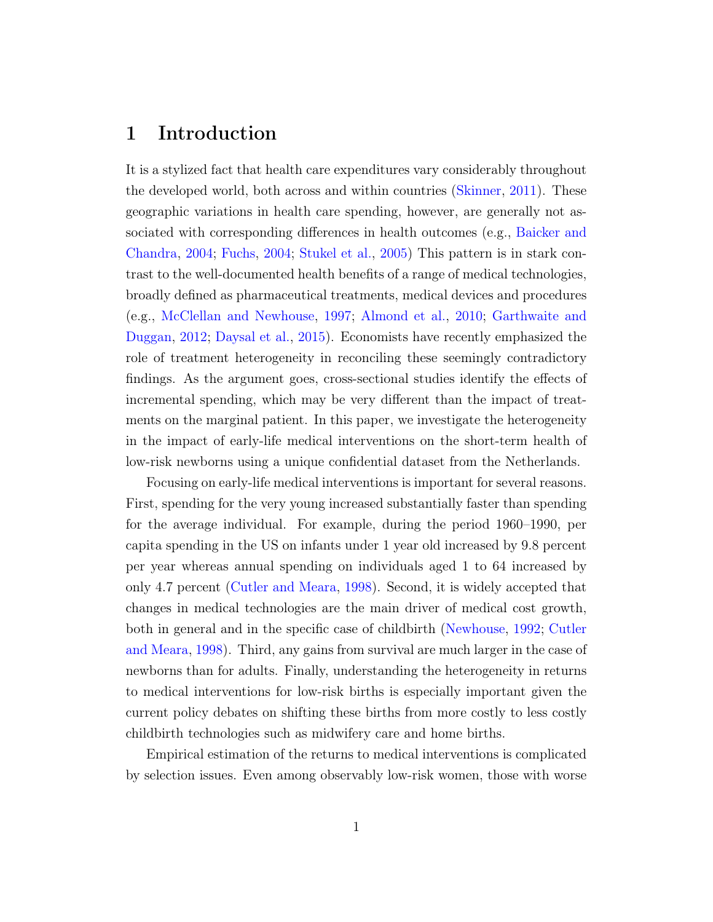#### 1 Introduction

It is a stylized fact that health care expenditures vary considerably throughout the developed world, both across and within countries [\(Skinner,](#page-29-0) [2011\)](#page-29-0). These geographic variations in health care spending, however, are generally not associated with corresponding differences in health outcomes (e.g., [Baicker and](#page-26-0) [Chandra,](#page-26-0) [2004;](#page-26-0) [Fuchs,](#page-28-0) [2004;](#page-28-0) [Stukel et al.,](#page-29-1) [2005\)](#page-29-1) This pattern is in stark contrast to the well-documented health benefits of a range of medical technologies, broadly defined as pharmaceutical treatments, medical devices and procedures (e.g., [McClellan and Newhouse,](#page-28-1) [1997;](#page-28-1) [Almond et al.,](#page-26-1) [2010;](#page-26-1) [Garthwaite and](#page-28-2) [Duggan,](#page-28-2) [2012;](#page-28-2) [Daysal et al.,](#page-27-0) [2015\)](#page-27-0). Economists have recently emphasized the role of treatment heterogeneity in reconciling these seemingly contradictory findings. As the argument goes, cross-sectional studies identify the effects of incremental spending, which may be very different than the impact of treatments on the marginal patient. In this paper, we investigate the heterogeneity in the impact of early-life medical interventions on the short-term health of low-risk newborns using a unique confidential dataset from the Netherlands.

Focusing on early-life medical interventions is important for several reasons. First, spending for the very young increased substantially faster than spending for the average individual. For example, during the period 1960–1990, per capita spending in the US on infants under 1 year old increased by 9.8 percent per year whereas annual spending on individuals aged 1 to 64 increased by only 4.7 percent [\(Cutler and Meara,](#page-27-1) [1998\)](#page-27-1). Second, it is widely accepted that changes in medical technologies are the main driver of medical cost growth, both in general and in the specific case of childbirth [\(Newhouse,](#page-29-2) [1992;](#page-29-2) [Cutler](#page-27-1) [and Meara,](#page-27-1) [1998\)](#page-27-1). Third, any gains from survival are much larger in the case of newborns than for adults. Finally, understanding the heterogeneity in returns to medical interventions for low-risk births is especially important given the current policy debates on shifting these births from more costly to less costly childbirth technologies such as midwifery care and home births.

Empirical estimation of the returns to medical interventions is complicated by selection issues. Even among observably low-risk women, those with worse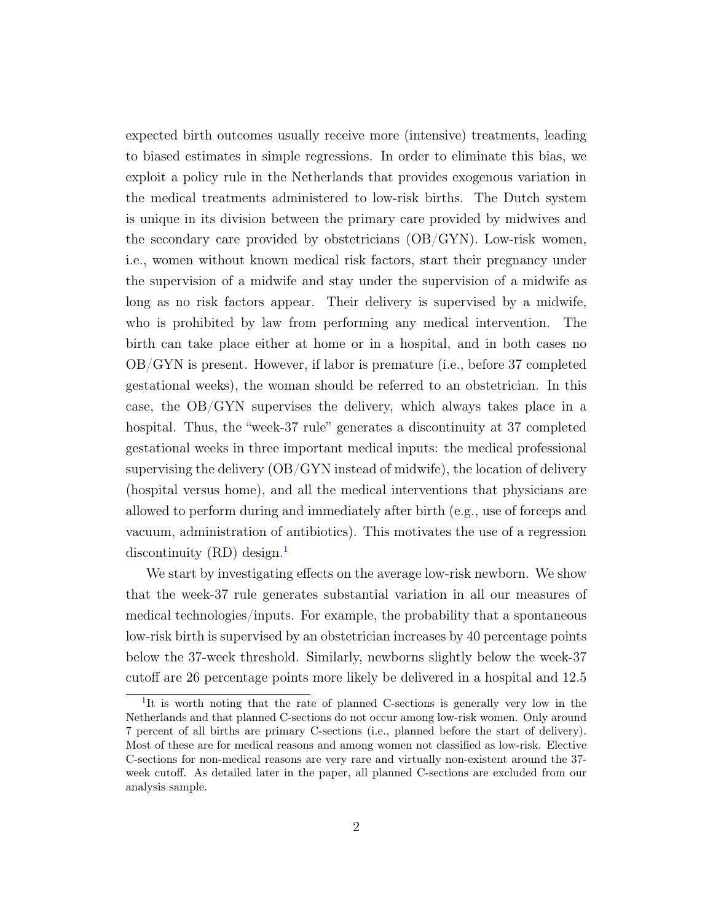expected birth outcomes usually receive more (intensive) treatments, leading to biased estimates in simple regressions. In order to eliminate this bias, we exploit a policy rule in the Netherlands that provides exogenous variation in the medical treatments administered to low-risk births. The Dutch system is unique in its division between the primary care provided by midwives and the secondary care provided by obstetricians (OB/GYN). Low-risk women, i.e., women without known medical risk factors, start their pregnancy under the supervision of a midwife and stay under the supervision of a midwife as long as no risk factors appear. Their delivery is supervised by a midwife, who is prohibited by law from performing any medical intervention. The birth can take place either at home or in a hospital, and in both cases no OB/GYN is present. However, if labor is premature (i.e., before 37 completed gestational weeks), the woman should be referred to an obstetrician. In this case, the OB/GYN supervises the delivery, which always takes place in a hospital. Thus, the "week-37 rule" generates a discontinuity at 37 completed gestational weeks in three important medical inputs: the medical professional supervising the delivery (OB/GYN instead of midwife), the location of delivery (hospital versus home), and all the medical interventions that physicians are allowed to perform during and immediately after birth (e.g., use of forceps and vacuum, administration of antibiotics). This motivates the use of a regression discontinuity  $(RD)$  design.<sup>[1](#page-4-0)</sup>

We start by investigating effects on the average low-risk newborn. We show that the week-37 rule generates substantial variation in all our measures of medical technologies/inputs. For example, the probability that a spontaneous low-risk birth is supervised by an obstetrician increases by 40 percentage points below the 37-week threshold. Similarly, newborns slightly below the week-37 cutoff are 26 percentage points more likely be delivered in a hospital and 12.5

<span id="page-4-0"></span><sup>&</sup>lt;sup>1</sup>It is worth noting that the rate of planned C-sections is generally very low in the Netherlands and that planned C-sections do not occur among low-risk women. Only around 7 percent of all births are primary C-sections (i.e., planned before the start of delivery). Most of these are for medical reasons and among women not classified as low-risk. Elective C-sections for non-medical reasons are very rare and virtually non-existent around the 37 week cutoff. As detailed later in the paper, all planned C-sections are excluded from our analysis sample.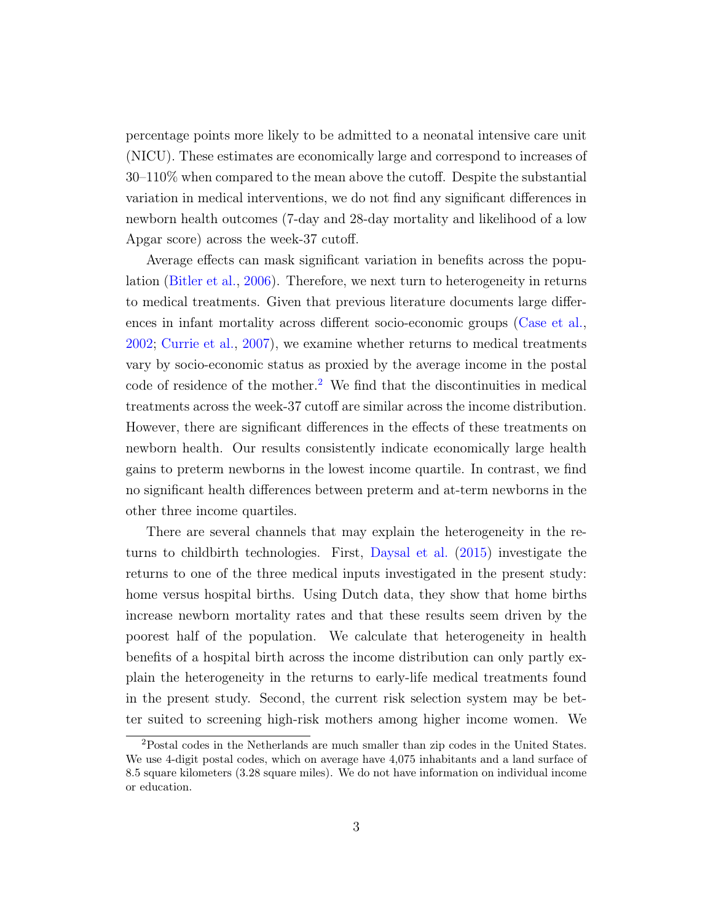percentage points more likely to be admitted to a neonatal intensive care unit (NICU). These estimates are economically large and correspond to increases of 30–110% when compared to the mean above the cutoff. Despite the substantial variation in medical interventions, we do not find any significant differences in newborn health outcomes (7-day and 28-day mortality and likelihood of a low Apgar score) across the week-37 cutoff.

Average effects can mask significant variation in benefits across the population [\(Bitler et al.,](#page-26-2) [2006\)](#page-26-2). Therefore, we next turn to heterogeneity in returns to medical treatments. Given that previous literature documents large differences in infant mortality across different socio-economic groups [\(Case et al.,](#page-26-3) [2002;](#page-26-3) [Currie et al.,](#page-27-2) [2007\)](#page-27-2), we examine whether returns to medical treatments vary by socio-economic status as proxied by the average income in the postal code of residence of the mother.<sup>[2](#page-5-0)</sup> We find that the discontinuities in medical treatments across the week-37 cutoff are similar across the income distribution. However, there are significant differences in the effects of these treatments on newborn health. Our results consistently indicate economically large health gains to preterm newborns in the lowest income quartile. In contrast, we find no significant health differences between preterm and at-term newborns in the other three income quartiles.

There are several channels that may explain the heterogeneity in the returns to childbirth technologies. First, [Daysal et al.](#page-27-0) [\(2015\)](#page-27-0) investigate the returns to one of the three medical inputs investigated in the present study: home versus hospital births. Using Dutch data, they show that home births increase newborn mortality rates and that these results seem driven by the poorest half of the population. We calculate that heterogeneity in health benefits of a hospital birth across the income distribution can only partly explain the heterogeneity in the returns to early-life medical treatments found in the present study. Second, the current risk selection system may be better suited to screening high-risk mothers among higher income women. We

<span id="page-5-0"></span><sup>2</sup>Postal codes in the Netherlands are much smaller than zip codes in the United States. We use 4-digit postal codes, which on average have 4,075 inhabitants and a land surface of 8.5 square kilometers (3.28 square miles). We do not have information on individual income or education.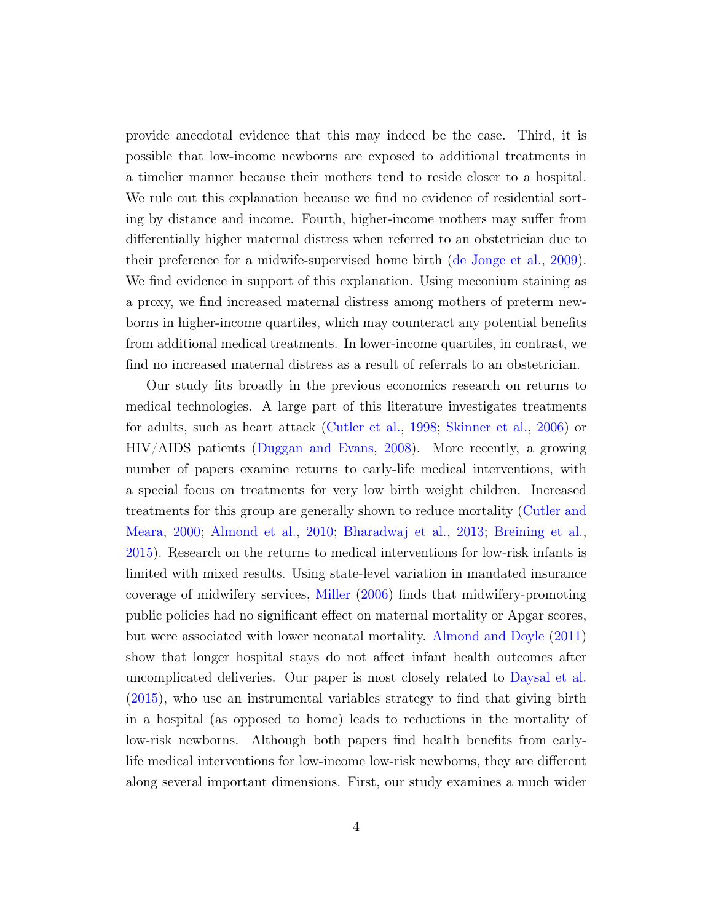provide anecdotal evidence that this may indeed be the case. Third, it is possible that low-income newborns are exposed to additional treatments in a timelier manner because their mothers tend to reside closer to a hospital. We rule out this explanation because we find no evidence of residential sorting by distance and income. Fourth, higher-income mothers may suffer from differentially higher maternal distress when referred to an obstetrician due to their preference for a midwife-supervised home birth [\(de Jonge et al.,](#page-27-3) [2009\)](#page-27-3). We find evidence in support of this explanation. Using meconium staining as a proxy, we find increased maternal distress among mothers of preterm newborns in higher-income quartiles, which may counteract any potential benefits from additional medical treatments. In lower-income quartiles, in contrast, we find no increased maternal distress as a result of referrals to an obstetrician.

Our study fits broadly in the previous economics research on returns to medical technologies. A large part of this literature investigates treatments for adults, such as heart attack [\(Cutler et al.,](#page-27-4) [1998;](#page-27-4) [Skinner et al.,](#page-29-3) [2006\)](#page-29-3) or HIV/AIDS patients [\(Duggan and Evans,](#page-27-5) [2008\)](#page-27-5). More recently, a growing number of papers examine returns to early-life medical interventions, with a special focus on treatments for very low birth weight children. Increased treatments for this group are generally shown to reduce mortality [\(Cutler and](#page-27-6) [Meara,](#page-27-6) [2000;](#page-27-6) [Almond et al.,](#page-26-1) [2010;](#page-26-1) [Bharadwaj et al.,](#page-26-4) [2013;](#page-26-4) [Breining et al.,](#page-26-5) [2015\)](#page-26-5). Research on the returns to medical interventions for low-risk infants is limited with mixed results. Using state-level variation in mandated insurance coverage of midwifery services, [Miller](#page-29-4) [\(2006\)](#page-29-4) finds that midwifery-promoting public policies had no significant effect on maternal mortality or Apgar scores, but were associated with lower neonatal mortality. [Almond and Doyle](#page-26-6) [\(2011\)](#page-26-6) show that longer hospital stays do not affect infant health outcomes after uncomplicated deliveries. Our paper is most closely related to [Daysal et al.](#page-27-0) [\(2015\)](#page-27-0), who use an instrumental variables strategy to find that giving birth in a hospital (as opposed to home) leads to reductions in the mortality of low-risk newborns. Although both papers find health benefits from earlylife medical interventions for low-income low-risk newborns, they are different along several important dimensions. First, our study examines a much wider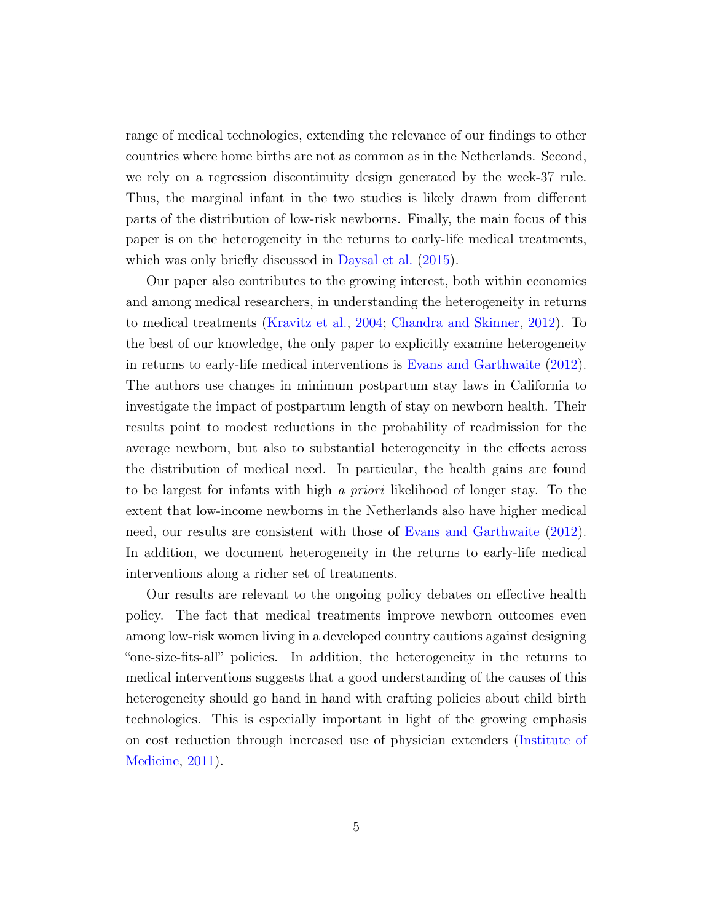range of medical technologies, extending the relevance of our findings to other countries where home births are not as common as in the Netherlands. Second, we rely on a regression discontinuity design generated by the week-37 rule. Thus, the marginal infant in the two studies is likely drawn from different parts of the distribution of low-risk newborns. Finally, the main focus of this paper is on the heterogeneity in the returns to early-life medical treatments, which was only briefly discussed in [Daysal et al.](#page-27-0)  $(2015)$ .

Our paper also contributes to the growing interest, both within economics and among medical researchers, in understanding the heterogeneity in returns to medical treatments [\(Kravitz et al.,](#page-28-3) [2004;](#page-28-3) [Chandra and Skinner,](#page-27-7) [2012\)](#page-27-7). To the best of our knowledge, the only paper to explicitly examine heterogeneity in returns to early-life medical interventions is [Evans and Garthwaite](#page-27-8) [\(2012\)](#page-27-8). The authors use changes in minimum postpartum stay laws in California to investigate the impact of postpartum length of stay on newborn health. Their results point to modest reductions in the probability of readmission for the average newborn, but also to substantial heterogeneity in the effects across the distribution of medical need. In particular, the health gains are found to be largest for infants with high a priori likelihood of longer stay. To the extent that low-income newborns in the Netherlands also have higher medical need, our results are consistent with those of [Evans and Garthwaite](#page-27-8) [\(2012\)](#page-27-8). In addition, we document heterogeneity in the returns to early-life medical interventions along a richer set of treatments.

Our results are relevant to the ongoing policy debates on effective health policy. The fact that medical treatments improve newborn outcomes even among low-risk women living in a developed country cautions against designing "one-size-fits-all" policies. In addition, the heterogeneity in the returns to medical interventions suggests that a good understanding of the causes of this heterogeneity should go hand in hand with crafting policies about child birth technologies. This is especially important in light of the growing emphasis on cost reduction through increased use of physician extenders [\(Institute of](#page-28-4) [Medicine,](#page-28-4) [2011\)](#page-28-4).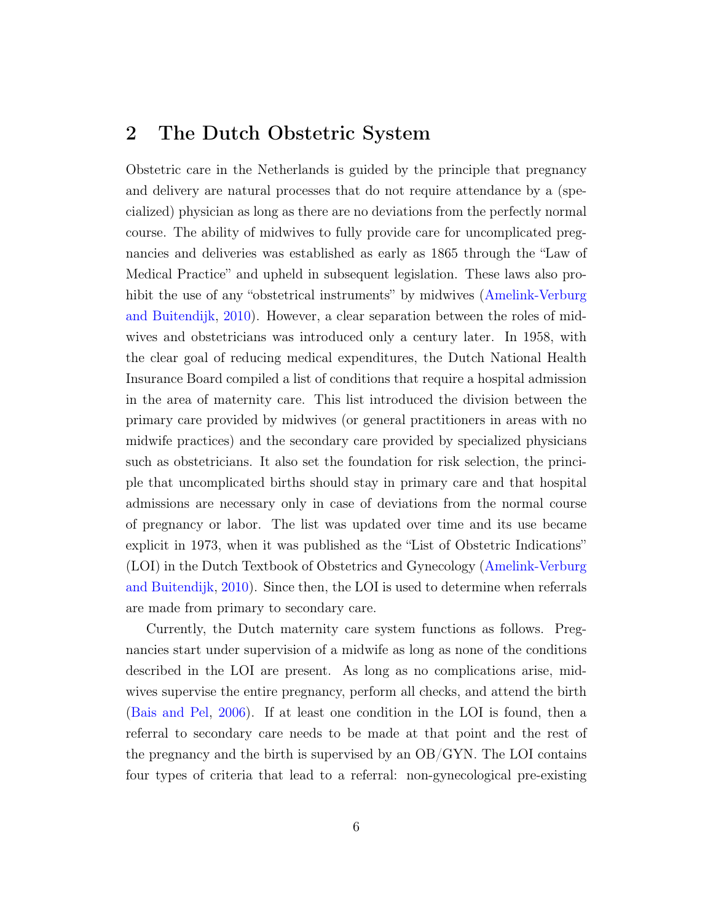#### 2 The Dutch Obstetric System

Obstetric care in the Netherlands is guided by the principle that pregnancy and delivery are natural processes that do not require attendance by a (specialized) physician as long as there are no deviations from the perfectly normal course. The ability of midwives to fully provide care for uncomplicated pregnancies and deliveries was established as early as 1865 through the "Law of Medical Practice" and upheld in subsequent legislation. These laws also prohibit the use of any "obstetrical instruments" by midwives [\(Amelink-Verburg](#page-26-7) [and Buitendijk,](#page-26-7) [2010\)](#page-26-7). However, a clear separation between the roles of midwives and obstetricians was introduced only a century later. In 1958, with the clear goal of reducing medical expenditures, the Dutch National Health Insurance Board compiled a list of conditions that require a hospital admission in the area of maternity care. This list introduced the division between the primary care provided by midwives (or general practitioners in areas with no midwife practices) and the secondary care provided by specialized physicians such as obstetricians. It also set the foundation for risk selection, the principle that uncomplicated births should stay in primary care and that hospital admissions are necessary only in case of deviations from the normal course of pregnancy or labor. The list was updated over time and its use became explicit in 1973, when it was published as the "List of Obstetric Indications" (LOI) in the Dutch Textbook of Obstetrics and Gynecology [\(Amelink-Verburg](#page-26-7) [and Buitendijk,](#page-26-7) [2010\)](#page-26-7). Since then, the LOI is used to determine when referrals are made from primary to secondary care.

Currently, the Dutch maternity care system functions as follows. Pregnancies start under supervision of a midwife as long as none of the conditions described in the LOI are present. As long as no complications arise, midwives supervise the entire pregnancy, perform all checks, and attend the birth [\(Bais and Pel,](#page-26-8) [2006\)](#page-26-8). If at least one condition in the LOI is found, then a referral to secondary care needs to be made at that point and the rest of the pregnancy and the birth is supervised by an OB/GYN. The LOI contains four types of criteria that lead to a referral: non-gynecological pre-existing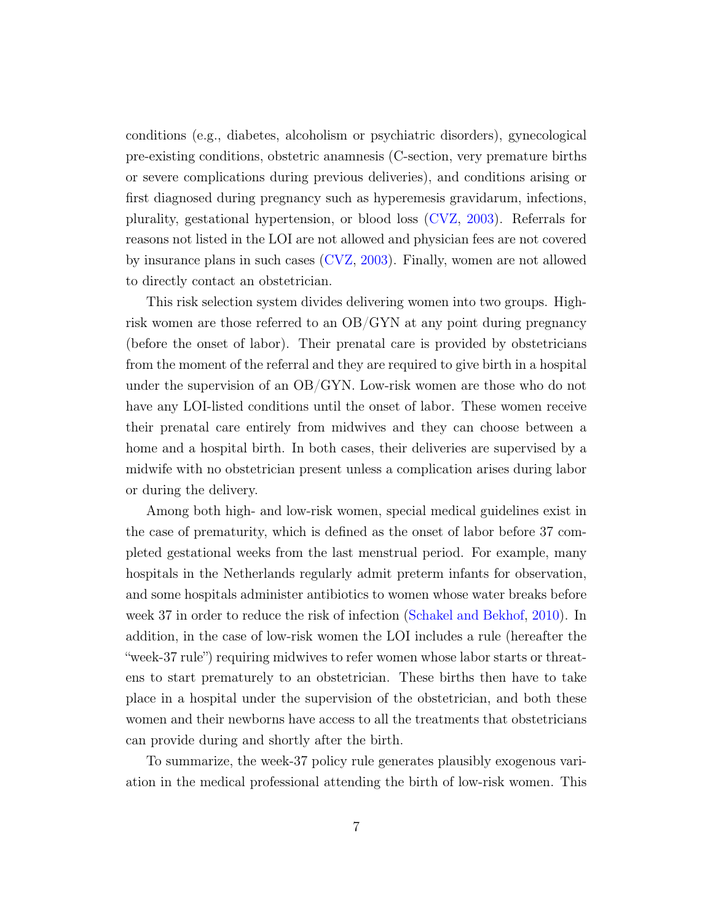conditions (e.g., diabetes, alcoholism or psychiatric disorders), gynecological pre-existing conditions, obstetric anamnesis (C-section, very premature births or severe complications during previous deliveries), and conditions arising or first diagnosed during pregnancy such as hyperemesis gravidarum, infections, plurality, gestational hypertension, or blood loss [\(CVZ,](#page-27-9) [2003\)](#page-27-9). Referrals for reasons not listed in the LOI are not allowed and physician fees are not covered by insurance plans in such cases [\(CVZ,](#page-27-9) [2003\)](#page-27-9). Finally, women are not allowed to directly contact an obstetrician.

This risk selection system divides delivering women into two groups. Highrisk women are those referred to an OB/GYN at any point during pregnancy (before the onset of labor). Their prenatal care is provided by obstetricians from the moment of the referral and they are required to give birth in a hospital under the supervision of an OB/GYN. Low-risk women are those who do not have any LOI-listed conditions until the onset of labor. These women receive their prenatal care entirely from midwives and they can choose between a home and a hospital birth. In both cases, their deliveries are supervised by a midwife with no obstetrician present unless a complication arises during labor or during the delivery.

Among both high- and low-risk women, special medical guidelines exist in the case of prematurity, which is defined as the onset of labor before 37 completed gestational weeks from the last menstrual period. For example, many hospitals in the Netherlands regularly admit preterm infants for observation, and some hospitals administer antibiotics to women whose water breaks before week 37 in order to reduce the risk of infection [\(Schakel and Bekhof,](#page-29-5) [2010\)](#page-29-5). In addition, in the case of low-risk women the LOI includes a rule (hereafter the "week-37 rule") requiring midwives to refer women whose labor starts or threatens to start prematurely to an obstetrician. These births then have to take place in a hospital under the supervision of the obstetrician, and both these women and their newborns have access to all the treatments that obstetricians can provide during and shortly after the birth.

To summarize, the week-37 policy rule generates plausibly exogenous variation in the medical professional attending the birth of low-risk women. This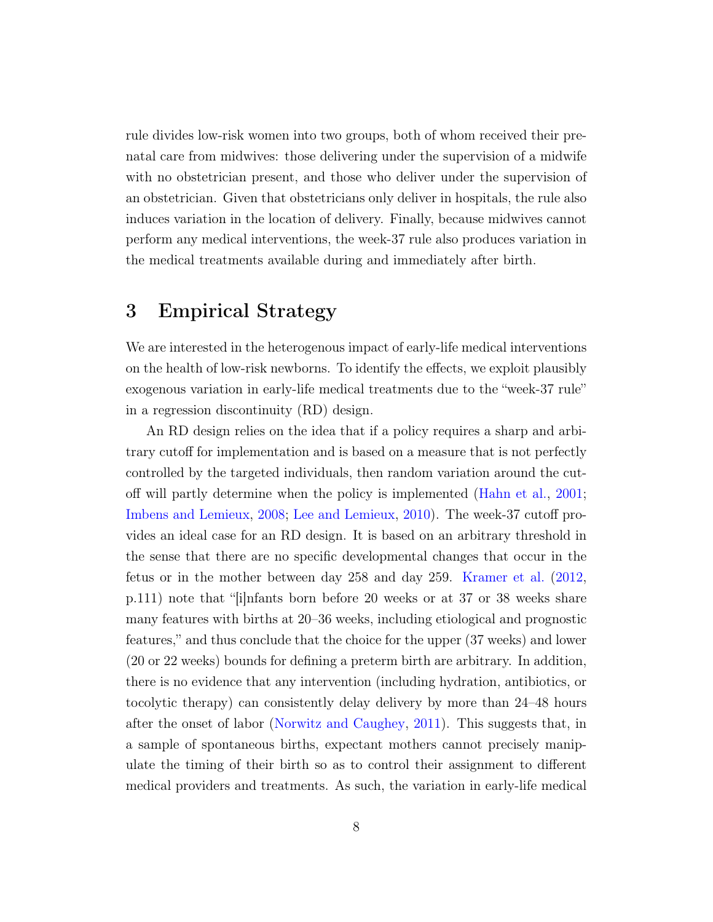rule divides low-risk women into two groups, both of whom received their prenatal care from midwives: those delivering under the supervision of a midwife with no obstetrician present, and those who deliver under the supervision of an obstetrician. Given that obstetricians only deliver in hospitals, the rule also induces variation in the location of delivery. Finally, because midwives cannot perform any medical interventions, the week-37 rule also produces variation in the medical treatments available during and immediately after birth.

### <span id="page-10-0"></span>3 Empirical Strategy

We are interested in the heterogenous impact of early-life medical interventions on the health of low-risk newborns. To identify the effects, we exploit plausibly exogenous variation in early-life medical treatments due to the "week-37 rule" in a regression discontinuity (RD) design.

An RD design relies on the idea that if a policy requires a sharp and arbitrary cutoff for implementation and is based on a measure that is not perfectly controlled by the targeted individuals, then random variation around the cutoff will partly determine when the policy is implemented [\(Hahn et al.,](#page-28-5) [2001;](#page-28-5) [Imbens and Lemieux,](#page-28-6) [2008;](#page-28-6) [Lee and Lemieux,](#page-28-7) [2010\)](#page-28-7). The week-37 cutoff provides an ideal case for an RD design. It is based on an arbitrary threshold in the sense that there are no specific developmental changes that occur in the fetus or in the mother between day 258 and day 259. [Kramer et al.](#page-28-8) [\(2012,](#page-28-8) p.111) note that "[i]nfants born before 20 weeks or at 37 or 38 weeks share many features with births at 20–36 weeks, including etiological and prognostic features," and thus conclude that the choice for the upper (37 weeks) and lower (20 or 22 weeks) bounds for defining a preterm birth are arbitrary. In addition, there is no evidence that any intervention (including hydration, antibiotics, or tocolytic therapy) can consistently delay delivery by more than 24–48 hours after the onset of labor [\(Norwitz and Caughey,](#page-29-6) [2011\)](#page-29-6). This suggests that, in a sample of spontaneous births, expectant mothers cannot precisely manipulate the timing of their birth so as to control their assignment to different medical providers and treatments. As such, the variation in early-life medical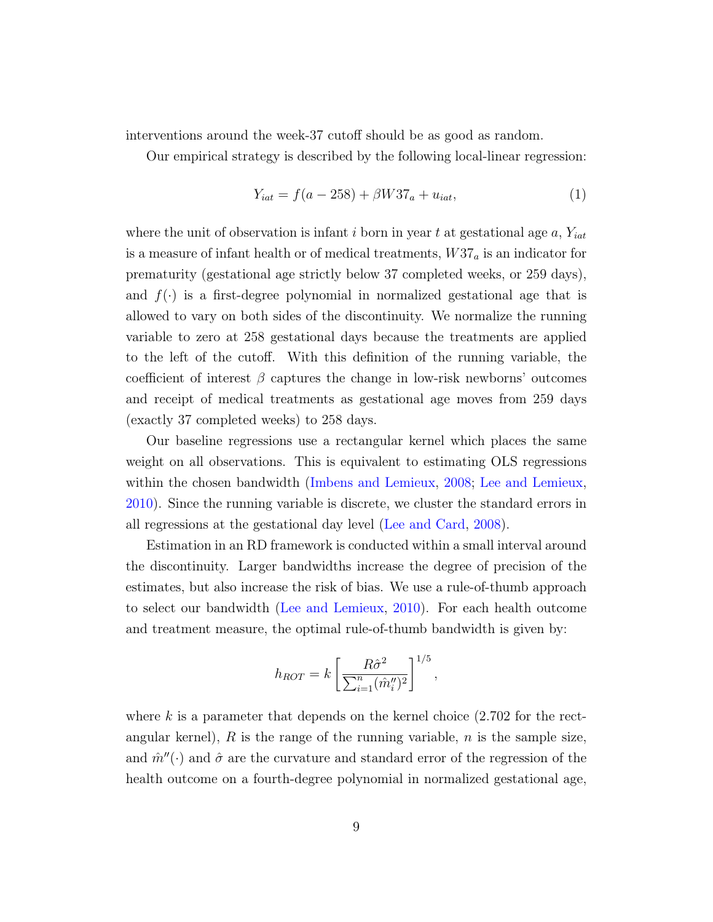interventions around the week-37 cutoff should be as good as random.

Our empirical strategy is described by the following local-linear regression:

<span id="page-11-0"></span>
$$
Y_{iat} = f(a - 258) + \beta W 37_a + u_{iat}, \tag{1}
$$

where the unit of observation is infant i born in year t at gestational age  $a, Y_{iat}$ is a measure of infant health or of medical treatments,  $W37_a$  is an indicator for prematurity (gestational age strictly below 37 completed weeks, or 259 days), and  $f(\cdot)$  is a first-degree polynomial in normalized gestational age that is allowed to vary on both sides of the discontinuity. We normalize the running variable to zero at 258 gestational days because the treatments are applied to the left of the cutoff. With this definition of the running variable, the coefficient of interest  $\beta$  captures the change in low-risk newborns' outcomes and receipt of medical treatments as gestational age moves from 259 days (exactly 37 completed weeks) to 258 days.

Our baseline regressions use a rectangular kernel which places the same weight on all observations. This is equivalent to estimating OLS regressions within the chosen bandwidth [\(Imbens and Lemieux,](#page-28-6) [2008;](#page-28-6) [Lee and Lemieux,](#page-28-7) [2010\)](#page-28-7). Since the running variable is discrete, we cluster the standard errors in all regressions at the gestational day level [\(Lee and Card,](#page-28-9) [2008\)](#page-28-9).

Estimation in an RD framework is conducted within a small interval around the discontinuity. Larger bandwidths increase the degree of precision of the estimates, but also increase the risk of bias. We use a rule-of-thumb approach to select our bandwidth [\(Lee and Lemieux,](#page-28-7) [2010\)](#page-28-7). For each health outcome and treatment measure, the optimal rule-of-thumb bandwidth is given by:

$$
h_{ROT} = k \left[ \frac{R\hat{\sigma}^2}{\sum_{i=1}^n (\hat{m}_i'')^2} \right]^{1/5},
$$

where  $k$  is a parameter that depends on the kernel choice  $(2.702$  for the rectangular kernel),  $R$  is the range of the running variable,  $n$  is the sample size, and  $\hat{m}''$ ( $\cdot$ ) and  $\hat{\sigma}$  are the curvature and standard error of the regression of the health outcome on a fourth-degree polynomial in normalized gestational age,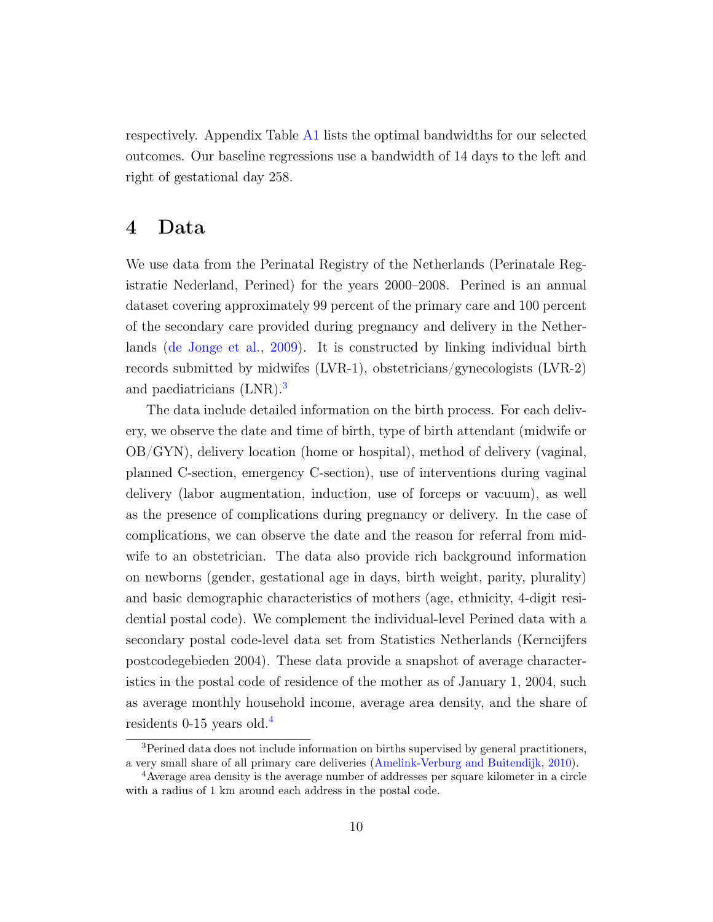respectively. Appendix Table [A1](#page-54-0) lists the optimal bandwidths for our selected outcomes. Our baseline regressions use a bandwidth of 14 days to the left and right of gestational day 258.

### <span id="page-12-2"></span>4 Data

We use data from the Perinatal Registry of the Netherlands (Perinatale Registratie Nederland, Perined) for the years 2000–2008. Perined is an annual dataset covering approximately 99 percent of the primary care and 100 percent of the secondary care provided during pregnancy and delivery in the Netherlands [\(de Jonge et al.,](#page-27-3) [2009\)](#page-27-3). It is constructed by linking individual birth records submitted by midwifes (LVR-1), obstetricians/gynecologists (LVR-2) and paediatricians (LNR).<sup>[3](#page-12-0)</sup>

The data include detailed information on the birth process. For each delivery, we observe the date and time of birth, type of birth attendant (midwife or OB/GYN), delivery location (home or hospital), method of delivery (vaginal, planned C-section, emergency C-section), use of interventions during vaginal delivery (labor augmentation, induction, use of forceps or vacuum), as well as the presence of complications during pregnancy or delivery. In the case of complications, we can observe the date and the reason for referral from midwife to an obstetrician. The data also provide rich background information on newborns (gender, gestational age in days, birth weight, parity, plurality) and basic demographic characteristics of mothers (age, ethnicity, 4-digit residential postal code). We complement the individual-level Perined data with a secondary postal code-level data set from Statistics Netherlands (Kerncijfers postcodegebieden 2004). These data provide a snapshot of average characteristics in the postal code of residence of the mother as of January 1, 2004, such as average monthly household income, average area density, and the share of residents 0-15 years old.[4](#page-12-1)

<span id="page-12-0"></span><sup>3</sup>Perined data does not include information on births supervised by general practitioners, a very small share of all primary care deliveries [\(Amelink-Verburg and Buitendijk,](#page-26-7) [2010\)](#page-26-7).

<span id="page-12-1"></span><sup>4</sup>Average area density is the average number of addresses per square kilometer in a circle with a radius of 1 km around each address in the postal code.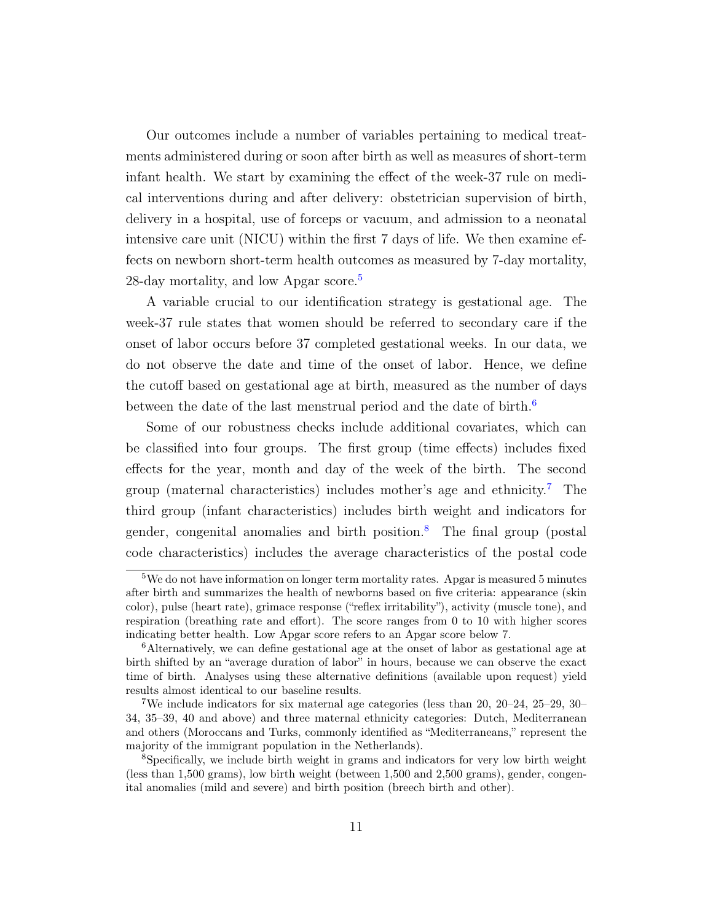Our outcomes include a number of variables pertaining to medical treatments administered during or soon after birth as well as measures of short-term infant health. We start by examining the effect of the week-37 rule on medical interventions during and after delivery: obstetrician supervision of birth, delivery in a hospital, use of forceps or vacuum, and admission to a neonatal intensive care unit (NICU) within the first 7 days of life. We then examine effects on newborn short-term health outcomes as measured by 7-day mortality, 28-day mortality, and low Apgar score.<sup>[5](#page-13-0)</sup>

A variable crucial to our identification strategy is gestational age. The week-37 rule states that women should be referred to secondary care if the onset of labor occurs before 37 completed gestational weeks. In our data, we do not observe the date and time of the onset of labor. Hence, we define the cutoff based on gestational age at birth, measured as the number of days between the date of the last menstrual period and the date of birth.<sup>[6](#page-13-1)</sup>

Some of our robustness checks include additional covariates, which can be classified into four groups. The first group (time effects) includes fixed effects for the year, month and day of the week of the birth. The second group (maternal characteristics) includes mother's age and ethnicity.<sup>[7](#page-13-2)</sup> The third group (infant characteristics) includes birth weight and indicators for gender, congenital anomalies and birth position.[8](#page-13-3) The final group (postal code characteristics) includes the average characteristics of the postal code

<span id="page-13-0"></span> $5$ We do not have information on longer term mortality rates. Apgar is measured 5 minutes after birth and summarizes the health of newborns based on five criteria: appearance (skin color), pulse (heart rate), grimace response ("reflex irritability"), activity (muscle tone), and respiration (breathing rate and effort). The score ranges from 0 to 10 with higher scores indicating better health. Low Apgar score refers to an Apgar score below 7.

<span id="page-13-1"></span><sup>6</sup>Alternatively, we can define gestational age at the onset of labor as gestational age at birth shifted by an "average duration of labor" in hours, because we can observe the exact time of birth. Analyses using these alternative definitions (available upon request) yield results almost identical to our baseline results.

<span id="page-13-2"></span><sup>7</sup>We include indicators for six maternal age categories (less than 20, 20–24, 25–29, 30– 34, 35–39, 40 and above) and three maternal ethnicity categories: Dutch, Mediterranean and others (Moroccans and Turks, commonly identified as "Mediterraneans," represent the majority of the immigrant population in the Netherlands).

<span id="page-13-3"></span><sup>8</sup>Specifically, we include birth weight in grams and indicators for very low birth weight (less than 1,500 grams), low birth weight (between 1,500 and 2,500 grams), gender, congenital anomalies (mild and severe) and birth position (breech birth and other).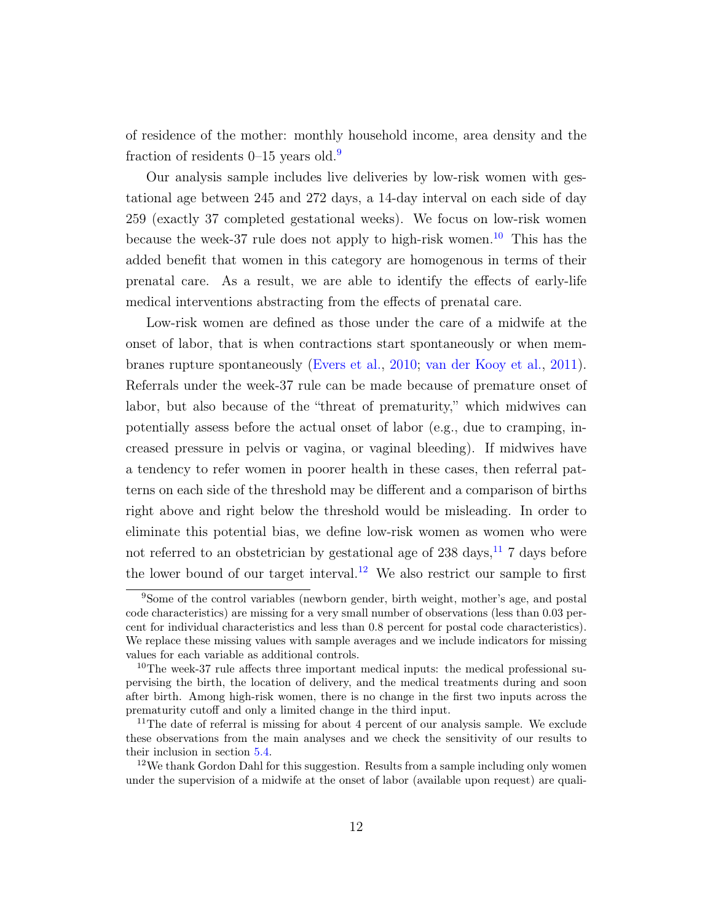of residence of the mother: monthly household income, area density and the fraction of residents  $0$ –15 years old.<sup>[9](#page-14-0)</sup>

Our analysis sample includes live deliveries by low-risk women with gestational age between 245 and 272 days, a 14-day interval on each side of day 259 (exactly 37 completed gestational weeks). We focus on low-risk women because the week-37 rule does not apply to high-risk women.<sup>[10](#page-14-1)</sup> This has the added benefit that women in this category are homogenous in terms of their prenatal care. As a result, we are able to identify the effects of early-life medical interventions abstracting from the effects of prenatal care.

Low-risk women are defined as those under the care of a midwife at the onset of labor, that is when contractions start spontaneously or when membranes rupture spontaneously [\(Evers et al.,](#page-27-10) [2010;](#page-27-10) [van der Kooy et al.,](#page-29-7) [2011\)](#page-29-7). Referrals under the week-37 rule can be made because of premature onset of labor, but also because of the "threat of prematurity," which midwives can potentially assess before the actual onset of labor (e.g., due to cramping, increased pressure in pelvis or vagina, or vaginal bleeding). If midwives have a tendency to refer women in poorer health in these cases, then referral patterns on each side of the threshold may be different and a comparison of births right above and right below the threshold would be misleading. In order to eliminate this potential bias, we define low-risk women as women who were not referred to an obstetrician by gestational age of  $238 \text{ days}$ ,<sup>[11](#page-14-2)</sup> 7 days before the lower bound of our target interval.<sup>[12](#page-14-3)</sup> We also restrict our sample to first

<span id="page-14-0"></span><sup>9</sup>Some of the control variables (newborn gender, birth weight, mother's age, and postal code characteristics) are missing for a very small number of observations (less than 0.03 percent for individual characteristics and less than 0.8 percent for postal code characteristics). We replace these missing values with sample averages and we include indicators for missing values for each variable as additional controls.

<span id="page-14-1"></span><sup>&</sup>lt;sup>10</sup>The week-37 rule affects three important medical inputs: the medical professional supervising the birth, the location of delivery, and the medical treatments during and soon after birth. Among high-risk women, there is no change in the first two inputs across the prematurity cutoff and only a limited change in the third input.

<span id="page-14-2"></span> $11$ The date of referral is missing for about 4 percent of our analysis sample. We exclude these observations from the main analyses and we check the sensitivity of our results to their inclusion in section [5.4.](#page-20-0)

<span id="page-14-3"></span> $12$ We thank Gordon Dahl for this suggestion. Results from a sample including only women under the supervision of a midwife at the onset of labor (available upon request) are quali-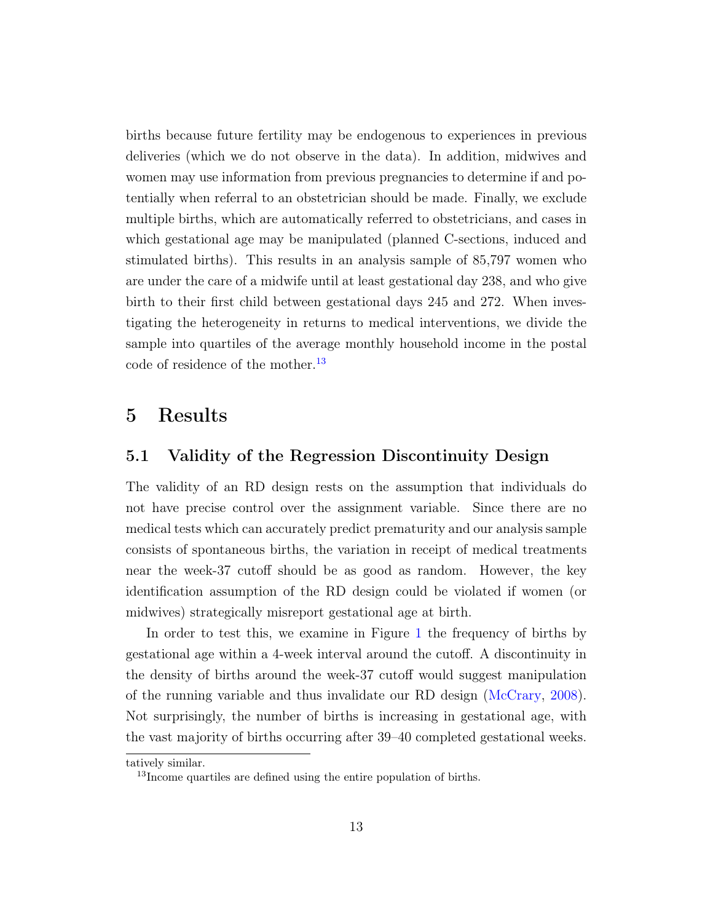births because future fertility may be endogenous to experiences in previous deliveries (which we do not observe in the data). In addition, midwives and women may use information from previous pregnancies to determine if and potentially when referral to an obstetrician should be made. Finally, we exclude multiple births, which are automatically referred to obstetricians, and cases in which gestational age may be manipulated (planned C-sections, induced and stimulated births). This results in an analysis sample of 85,797 women who are under the care of a midwife until at least gestational day 238, and who give birth to their first child between gestational days 245 and 272. When investigating the heterogeneity in returns to medical interventions, we divide the sample into quartiles of the average monthly household income in the postal code of residence of the mother.<sup>[13](#page-15-0)</sup>

#### 5 Results

#### 5.1 Validity of the Regression Discontinuity Design

The validity of an RD design rests on the assumption that individuals do not have precise control over the assignment variable. Since there are no medical tests which can accurately predict prematurity and our analysis sample consists of spontaneous births, the variation in receipt of medical treatments near the week-37 cutoff should be as good as random. However, the key identification assumption of the RD design could be violated if women (or midwives) strategically misreport gestational age at birth.

In order to test this, we examine in Figure [1](#page-31-0) the frequency of births by gestational age within a 4-week interval around the cutoff. A discontinuity in the density of births around the week-37 cutoff would suggest manipulation of the running variable and thus invalidate our RD design [\(McCrary,](#page-29-8) [2008\)](#page-29-8). Not surprisingly, the number of births is increasing in gestational age, with the vast majority of births occurring after 39–40 completed gestational weeks.

tatively similar.

<span id="page-15-0"></span><sup>&</sup>lt;sup>13</sup>Income quartiles are defined using the entire population of births.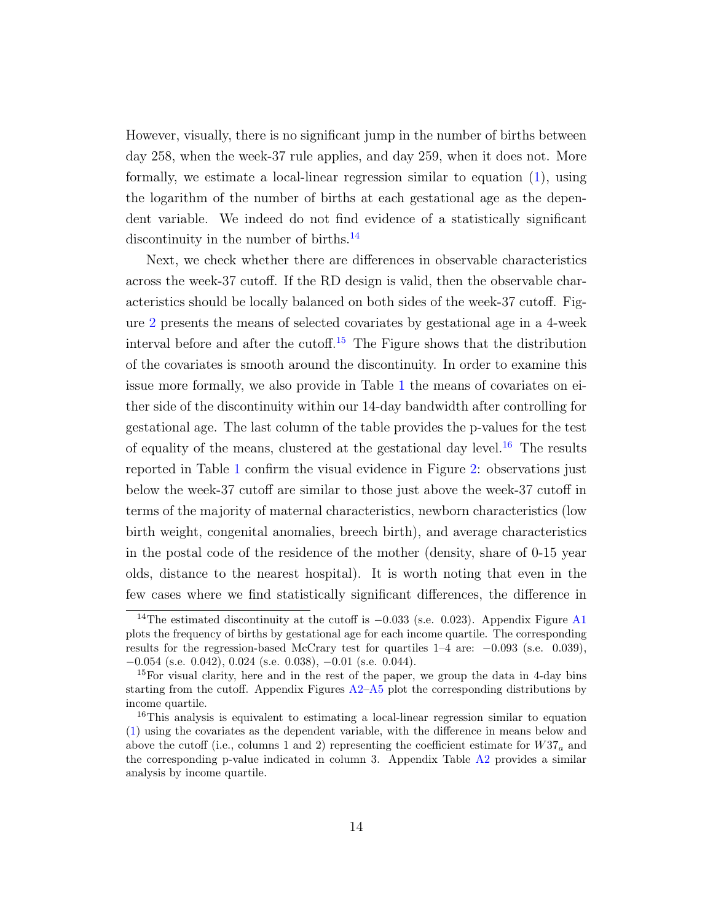However, visually, there is no significant jump in the number of births between day 258, when the week-37 rule applies, and day 259, when it does not. More formally, we estimate a local-linear regression similar to equation [\(1\)](#page-11-0), using the logarithm of the number of births at each gestational age as the dependent variable. We indeed do not find evidence of a statistically significant discontinuity in the number of births.<sup>[14](#page-16-0)</sup>

Next, we check whether there are differences in observable characteristics across the week-37 cutoff. If the RD design is valid, then the observable characteristics should be locally balanced on both sides of the week-37 cutoff. Figure [2](#page-32-0) presents the means of selected covariates by gestational age in a 4-week interval before and after the cutoff.<sup>[15](#page-16-1)</sup> The Figure shows that the distribution of the covariates is smooth around the discontinuity. In order to examine this issue more formally, we also provide in Table [1](#page-35-0) the means of covariates on either side of the discontinuity within our 14-day bandwidth after controlling for gestational age. The last column of the table provides the p-values for the test of equality of the means, clustered at the gestational day level.<sup>[16](#page-16-2)</sup> The results reported in Table [1](#page-35-0) confirm the visual evidence in Figure [2:](#page-32-0) observations just below the week-37 cutoff are similar to those just above the week-37 cutoff in terms of the majority of maternal characteristics, newborn characteristics (low birth weight, congenital anomalies, breech birth), and average characteristics in the postal code of the residence of the mother (density, share of 0-15 year olds, distance to the nearest hospital). It is worth noting that even in the few cases where we find statistically significant differences, the difference in

<span id="page-16-0"></span><sup>&</sup>lt;sup>14</sup>The estimated discontinuity at the cutoff is  $-0.033$  (s.e. 0.023). Appendix Figure [A1](#page-41-0) plots the frequency of births by gestational age for each income quartile. The corresponding results for the regression-based McCrary test for quartiles 1–4 are: −0.093 (s.e. 0.039), −0.054 (s.e. 0.042), 0.024 (s.e. 0.038), −0.01 (s.e. 0.044).

<span id="page-16-1"></span><sup>&</sup>lt;sup>15</sup>For visual clarity, here and in the rest of the paper, we group the data in 4-day bins starting from the cutoff. Appendix Figures  $A2-A5$  $A2-A5$  plot the corresponding distributions by income quartile.

<span id="page-16-2"></span><sup>&</sup>lt;sup>16</sup>This analysis is equivalent to estimating a local-linear regression similar to equation [\(1\)](#page-11-0) using the covariates as the dependent variable, with the difference in means below and above the cutoff (i.e., columns 1 and 2) representing the coefficient estimate for  $W37_a$  and the corresponding p-value indicated in column 3. Appendix Table [A2](#page-55-0) provides a similar analysis by income quartile.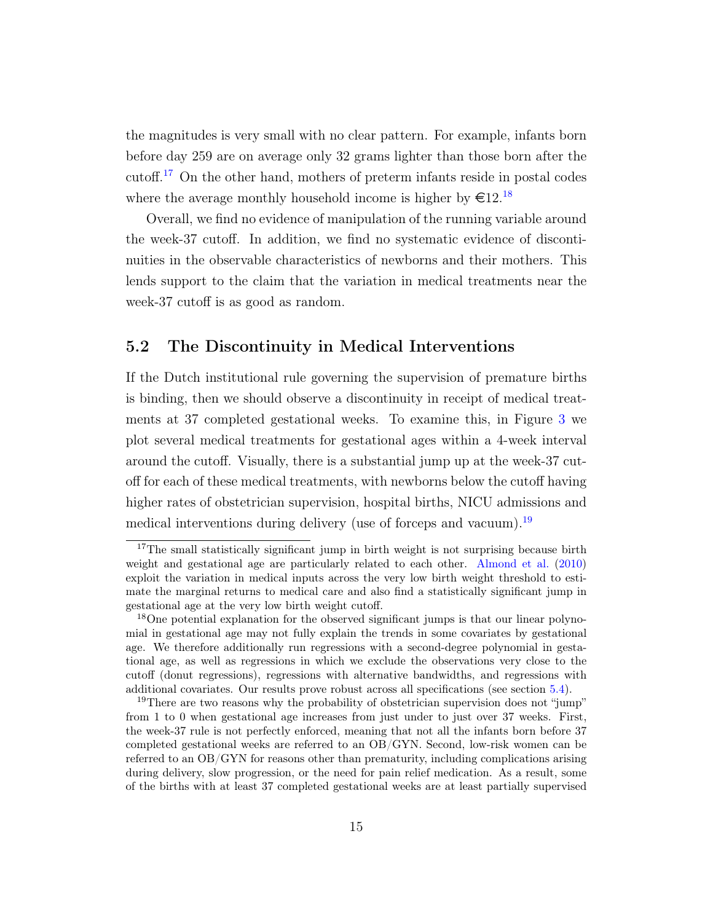the magnitudes is very small with no clear pattern. For example, infants born before day 259 are on average only 32 grams lighter than those born after the cutoff.[17](#page-17-0) On the other hand, mothers of preterm infants reside in postal codes where the average monthly household income is higher by  $\epsilon 12.^{18}$  $\epsilon 12.^{18}$  $\epsilon 12.^{18}$ 

Overall, we find no evidence of manipulation of the running variable around the week-37 cutoff. In addition, we find no systematic evidence of discontinuities in the observable characteristics of newborns and their mothers. This lends support to the claim that the variation in medical treatments near the week-37 cutoff is as good as random.

#### 5.2 The Discontinuity in Medical Interventions

If the Dutch institutional rule governing the supervision of premature births is binding, then we should observe a discontinuity in receipt of medical treatments at 37 completed gestational weeks. To examine this, in Figure [3](#page-33-0) we plot several medical treatments for gestational ages within a 4-week interval around the cutoff. Visually, there is a substantial jump up at the week-37 cutoff for each of these medical treatments, with newborns below the cutoff having higher rates of obstetrician supervision, hospital births, NICU admissions and medical interventions during delivery (use of forceps and vacuum).<sup>[19](#page-17-2)</sup>

<span id="page-17-0"></span><sup>&</sup>lt;sup>17</sup>The small statistically significant jump in birth weight is not surprising because birth weight and gestational age are particularly related to each other. [Almond et al.](#page-26-1) [\(2010\)](#page-26-1) exploit the variation in medical inputs across the very low birth weight threshold to estimate the marginal returns to medical care and also find a statistically significant jump in gestational age at the very low birth weight cutoff.

<span id="page-17-1"></span><sup>&</sup>lt;sup>18</sup>One potential explanation for the observed significant jumps is that our linear polynomial in gestational age may not fully explain the trends in some covariates by gestational age. We therefore additionally run regressions with a second-degree polynomial in gestational age, as well as regressions in which we exclude the observations very close to the cutoff (donut regressions), regressions with alternative bandwidths, and regressions with additional covariates. Our results prove robust across all specifications (see section [5.4\)](#page-20-0).

<span id="page-17-2"></span><sup>&</sup>lt;sup>19</sup>There are two reasons why the probability of obstetrician supervision does not "jump" from 1 to 0 when gestational age increases from just under to just over 37 weeks. First, the week-37 rule is not perfectly enforced, meaning that not all the infants born before 37 completed gestational weeks are referred to an OB/GYN. Second, low-risk women can be referred to an OB/GYN for reasons other than prematurity, including complications arising during delivery, slow progression, or the need for pain relief medication. As a result, some of the births with at least 37 completed gestational weeks are at least partially supervised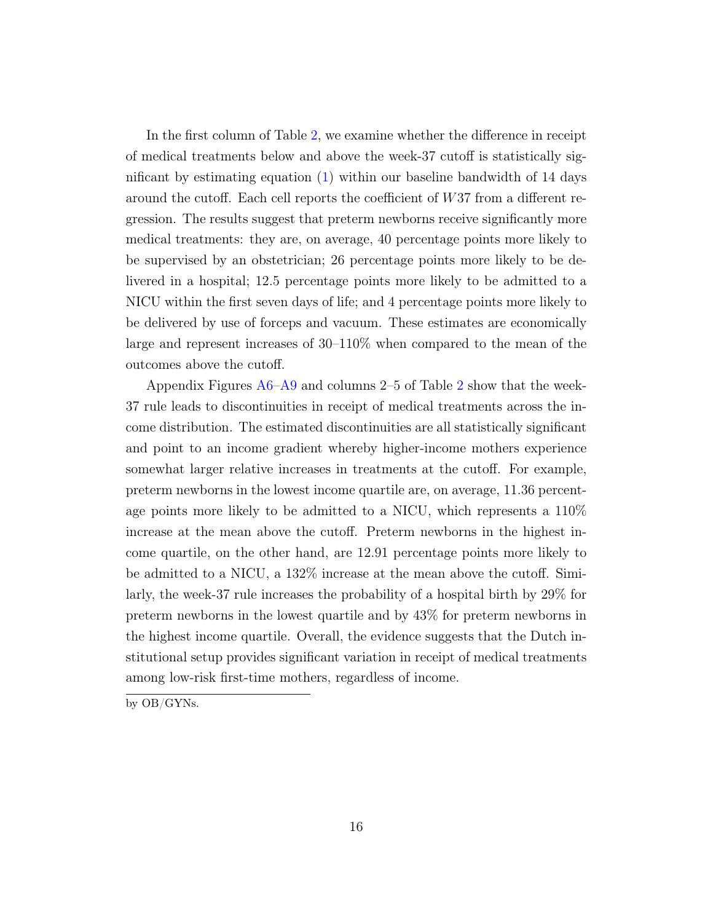In the first column of Table [2,](#page-36-0) we examine whether the difference in receipt of medical treatments below and above the week-37 cutoff is statistically significant by estimating equation [\(1\)](#page-11-0) within our baseline bandwidth of 14 days around the cutoff. Each cell reports the coefficient of W37 from a different regression. The results suggest that preterm newborns receive significantly more medical treatments: they are, on average, 40 percentage points more likely to be supervised by an obstetrician; 26 percentage points more likely to be delivered in a hospital; 12.5 percentage points more likely to be admitted to a NICU within the first seven days of life; and 4 percentage points more likely to be delivered by use of forceps and vacuum. These estimates are economically large and represent increases of 30–110% when compared to the mean of the outcomes above the cutoff.

Appendix Figures [A6–](#page-46-0)[A9](#page-49-0) and columns 2–5 of Table [2](#page-36-0) show that the week-37 rule leads to discontinuities in receipt of medical treatments across the income distribution. The estimated discontinuities are all statistically significant and point to an income gradient whereby higher-income mothers experience somewhat larger relative increases in treatments at the cutoff. For example, preterm newborns in the lowest income quartile are, on average, 11.36 percentage points more likely to be admitted to a NICU, which represents a 110% increase at the mean above the cutoff. Preterm newborns in the highest income quartile, on the other hand, are 12.91 percentage points more likely to be admitted to a NICU, a 132% increase at the mean above the cutoff. Similarly, the week-37 rule increases the probability of a hospital birth by 29% for preterm newborns in the lowest quartile and by 43% for preterm newborns in the highest income quartile. Overall, the evidence suggests that the Dutch institutional setup provides significant variation in receipt of medical treatments among low-risk first-time mothers, regardless of income.

by OB/GYNs.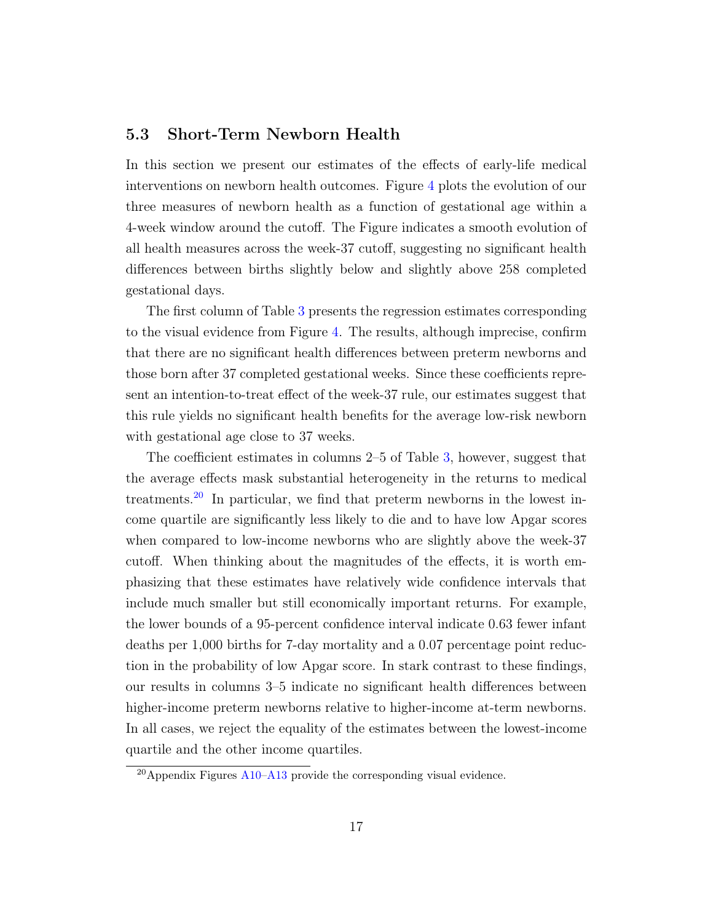#### 5.3 Short-Term Newborn Health

In this section we present our estimates of the effects of early-life medical interventions on newborn health outcomes. Figure [4](#page-34-0) plots the evolution of our three measures of newborn health as a function of gestational age within a 4-week window around the cutoff. The Figure indicates a smooth evolution of all health measures across the week-37 cutoff, suggesting no significant health differences between births slightly below and slightly above 258 completed gestational days.

The first column of Table [3](#page-37-0) presents the regression estimates corresponding to the visual evidence from Figure [4.](#page-34-0) The results, although imprecise, confirm that there are no significant health differences between preterm newborns and those born after 37 completed gestational weeks. Since these coefficients represent an intention-to-treat effect of the week-37 rule, our estimates suggest that this rule yields no significant health benefits for the average low-risk newborn with gestational age close to 37 weeks.

The coefficient estimates in columns 2–5 of Table [3,](#page-37-0) however, suggest that the average effects mask substantial heterogeneity in the returns to medical treatments.<sup>[20](#page-19-0)</sup> In particular, we find that preterm newborns in the lowest income quartile are significantly less likely to die and to have low Apgar scores when compared to low-income newborns who are slightly above the week-37 cutoff. When thinking about the magnitudes of the effects, it is worth emphasizing that these estimates have relatively wide confidence intervals that include much smaller but still economically important returns. For example, the lower bounds of a 95-percent confidence interval indicate 0.63 fewer infant deaths per 1,000 births for 7-day mortality and a 0.07 percentage point reduction in the probability of low Apgar score. In stark contrast to these findings, our results in columns 3–5 indicate no significant health differences between higher-income preterm newborns relative to higher-income at-term newborns. In all cases, we reject the equality of the estimates between the lowest-income quartile and the other income quartiles.

<span id="page-19-0"></span> $^{20}$ Appendix Figures [A10](#page-50-0)[–A13](#page-53-0) provide the corresponding visual evidence.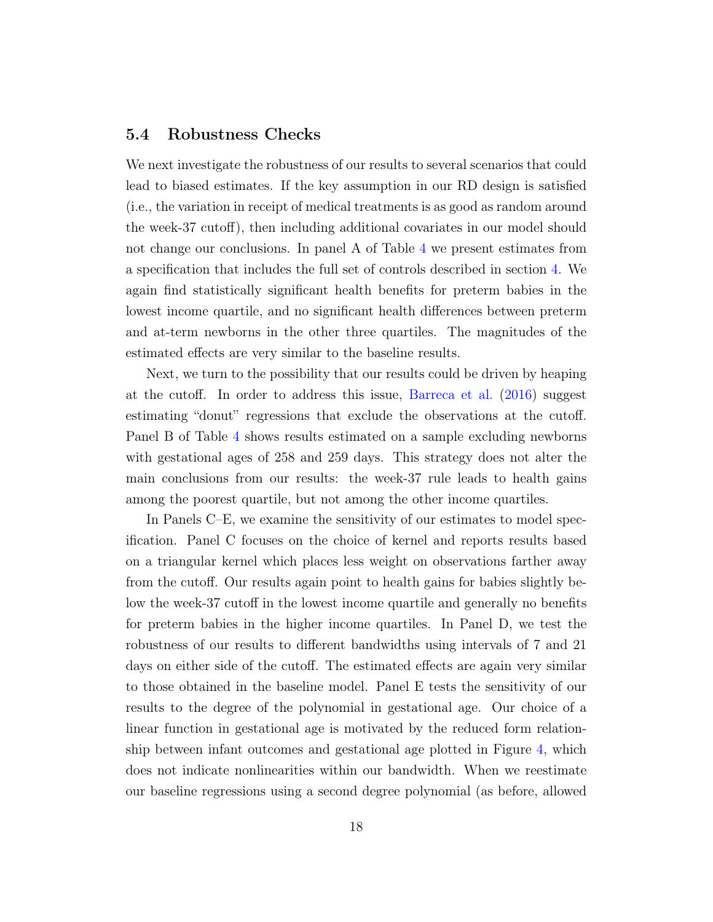#### <span id="page-20-0"></span>5.4 Robustness Checks

We next investigate the robustness of our results to several scenarios that could lead to biased estimates. If the key assumption in our RD design is satisfied (i.e., the variation in receipt of medical treatments is as good as random around the week-37 cutoff), then including additional covariates in our model should not change our conclusions. In panel A of Table [4](#page-38-0) we present estimates from a specification that includes the full set of controls described in section [4.](#page-12-2) We again find statistically significant health benefits for preterm babies in the lowest income quartile, and no significant health differences between preterm and at-term newborns in the other three quartiles. The magnitudes of the estimated effects are very similar to the baseline results.

Next, we turn to the possibility that our results could be driven by heaping at the cutoff. In order to address this issue, [Barreca et al.](#page-26-9) [\(2016\)](#page-26-9) suggest estimating "donut" regressions that exclude the observations at the cutoff. Panel B of Table [4](#page-38-0) shows results estimated on a sample excluding newborns with gestational ages of 258 and 259 days. This strategy does not alter the main conclusions from our results: the week-37 rule leads to health gains among the poorest quartile, but not among the other income quartiles.

In Panels C–E, we examine the sensitivity of our estimates to model specification. Panel C focuses on the choice of kernel and reports results based on a triangular kernel which places less weight on observations farther away from the cutoff. Our results again point to health gains for babies slightly below the week-37 cutoff in the lowest income quartile and generally no benefits for preterm babies in the higher income quartiles. In Panel D, we test the robustness of our results to different bandwidths using intervals of 7 and 21 days on either side of the cutoff. The estimated effects are again very similar to those obtained in the baseline model. Panel E tests the sensitivity of our results to the degree of the polynomial in gestational age. Our choice of a linear function in gestational age is motivated by the reduced form relationship between infant outcomes and gestational age plotted in Figure [4,](#page-34-0) which does not indicate nonlinearities within our bandwidth. When we reestimate our baseline regressions using a second degree polynomial (as before, allowed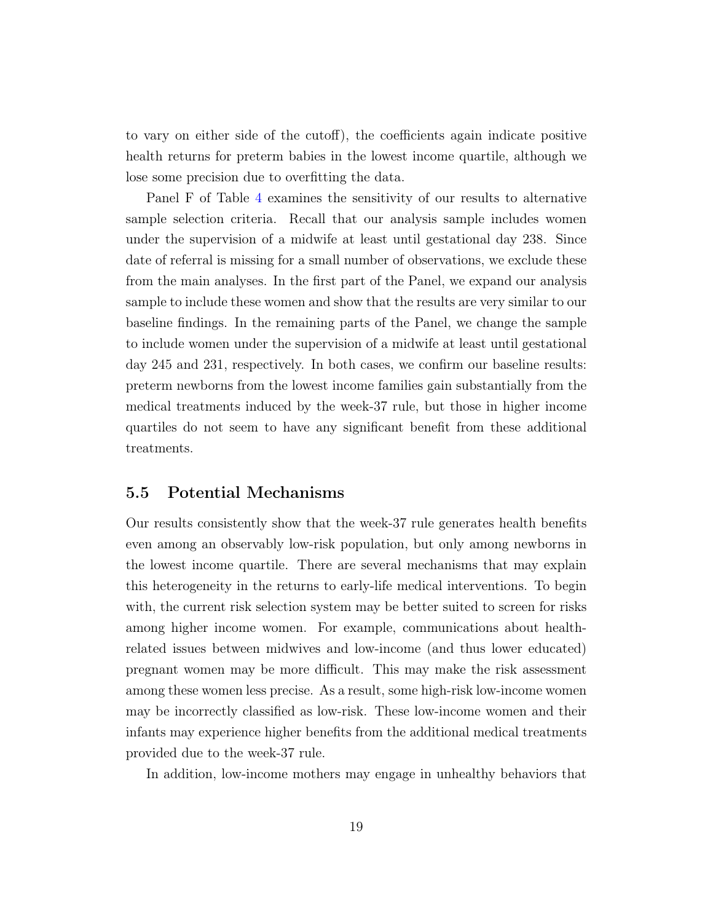to vary on either side of the cutoff), the coefficients again indicate positive health returns for preterm babies in the lowest income quartile, although we lose some precision due to overfitting the data.

Panel F of Table [4](#page-38-0) examines the sensitivity of our results to alternative sample selection criteria. Recall that our analysis sample includes women under the supervision of a midwife at least until gestational day 238. Since date of referral is missing for a small number of observations, we exclude these from the main analyses. In the first part of the Panel, we expand our analysis sample to include these women and show that the results are very similar to our baseline findings. In the remaining parts of the Panel, we change the sample to include women under the supervision of a midwife at least until gestational day 245 and 231, respectively. In both cases, we confirm our baseline results: preterm newborns from the lowest income families gain substantially from the medical treatments induced by the week-37 rule, but those in higher income quartiles do not seem to have any significant benefit from these additional treatments.

#### 5.5 Potential Mechanisms

Our results consistently show that the week-37 rule generates health benefits even among an observably low-risk population, but only among newborns in the lowest income quartile. There are several mechanisms that may explain this heterogeneity in the returns to early-life medical interventions. To begin with, the current risk selection system may be better suited to screen for risks among higher income women. For example, communications about healthrelated issues between midwives and low-income (and thus lower educated) pregnant women may be more difficult. This may make the risk assessment among these women less precise. As a result, some high-risk low-income women may be incorrectly classified as low-risk. These low-income women and their infants may experience higher benefits from the additional medical treatments provided due to the week-37 rule.

In addition, low-income mothers may engage in unhealthy behaviors that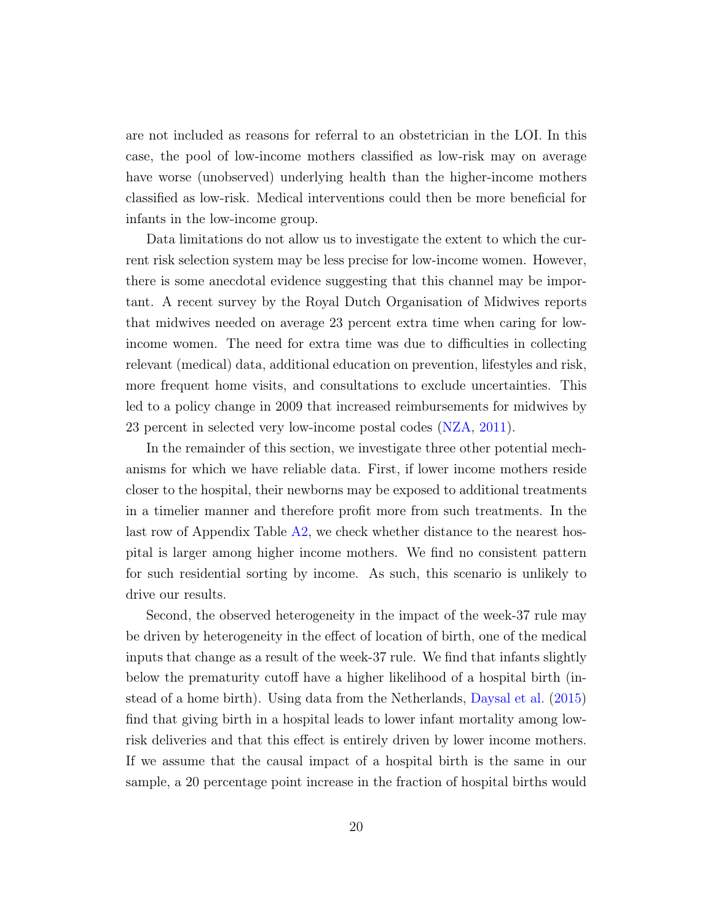are not included as reasons for referral to an obstetrician in the LOI. In this case, the pool of low-income mothers classified as low-risk may on average have worse (unobserved) underlying health than the higher-income mothers classified as low-risk. Medical interventions could then be more beneficial for infants in the low-income group.

Data limitations do not allow us to investigate the extent to which the current risk selection system may be less precise for low-income women. However, there is some anecdotal evidence suggesting that this channel may be important. A recent survey by the Royal Dutch Organisation of Midwives reports that midwives needed on average 23 percent extra time when caring for lowincome women. The need for extra time was due to difficulties in collecting relevant (medical) data, additional education on prevention, lifestyles and risk, more frequent home visits, and consultations to exclude uncertainties. This led to a policy change in 2009 that increased reimbursements for midwives by 23 percent in selected very low-income postal codes [\(NZA,](#page-29-9) [2011\)](#page-29-9).

In the remainder of this section, we investigate three other potential mechanisms for which we have reliable data. First, if lower income mothers reside closer to the hospital, their newborns may be exposed to additional treatments in a timelier manner and therefore profit more from such treatments. In the last row of Appendix Table [A2,](#page-55-0) we check whether distance to the nearest hospital is larger among higher income mothers. We find no consistent pattern for such residential sorting by income. As such, this scenario is unlikely to drive our results.

Second, the observed heterogeneity in the impact of the week-37 rule may be driven by heterogeneity in the effect of location of birth, one of the medical inputs that change as a result of the week-37 rule. We find that infants slightly below the prematurity cutoff have a higher likelihood of a hospital birth (instead of a home birth). Using data from the Netherlands, [Daysal et al.](#page-27-0) [\(2015\)](#page-27-0) find that giving birth in a hospital leads to lower infant mortality among lowrisk deliveries and that this effect is entirely driven by lower income mothers. If we assume that the causal impact of a hospital birth is the same in our sample, a 20 percentage point increase in the fraction of hospital births would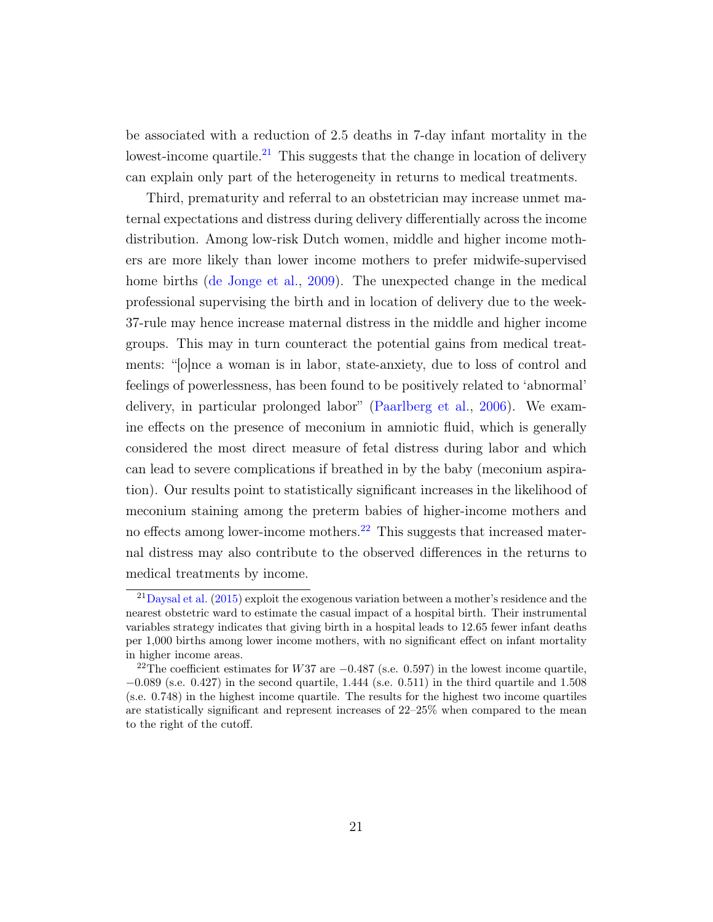be associated with a reduction of 2.5 deaths in 7-day infant mortality in the lowest-income quartile.<sup>[21](#page-23-0)</sup> This suggests that the change in location of delivery can explain only part of the heterogeneity in returns to medical treatments.

Third, prematurity and referral to an obstetrician may increase unmet maternal expectations and distress during delivery differentially across the income distribution. Among low-risk Dutch women, middle and higher income mothers are more likely than lower income mothers to prefer midwife-supervised home births [\(de Jonge et al.,](#page-27-3) [2009\)](#page-27-3). The unexpected change in the medical professional supervising the birth and in location of delivery due to the week-37-rule may hence increase maternal distress in the middle and higher income groups. This may in turn counteract the potential gains from medical treatments: "[o]nce a woman is in labor, state-anxiety, due to loss of control and feelings of powerlessness, has been found to be positively related to 'abnormal' delivery, in particular prolonged labor" [\(Paarlberg et al.,](#page-29-10) [2006\)](#page-29-10). We examine effects on the presence of meconium in amniotic fluid, which is generally considered the most direct measure of fetal distress during labor and which can lead to severe complications if breathed in by the baby (meconium aspiration). Our results point to statistically significant increases in the likelihood of meconium staining among the preterm babies of higher-income mothers and no effects among lower-income mothers.<sup>[22](#page-23-1)</sup> This suggests that increased maternal distress may also contribute to the observed differences in the returns to medical treatments by income.

<span id="page-23-0"></span> $^{21}$ [Daysal et al.](#page-27-0) [\(2015\)](#page-27-0) exploit the exogenous variation between a mother's residence and the nearest obstetric ward to estimate the casual impact of a hospital birth. Their instrumental variables strategy indicates that giving birth in a hospital leads to 12.65 fewer infant deaths per 1,000 births among lower income mothers, with no significant effect on infant mortality in higher income areas.

<span id="page-23-1"></span><sup>&</sup>lt;sup>22</sup>The coefficient estimates for W37 are  $-0.487$  (s.e. 0.597) in the lowest income quartile,  $-0.089$  (s.e. 0.427) in the second quartile, 1.444 (s.e. 0.511) in the third quartile and 1.508 (s.e. 0.748) in the highest income quartile. The results for the highest two income quartiles are statistically significant and represent increases of 22–25% when compared to the mean to the right of the cutoff.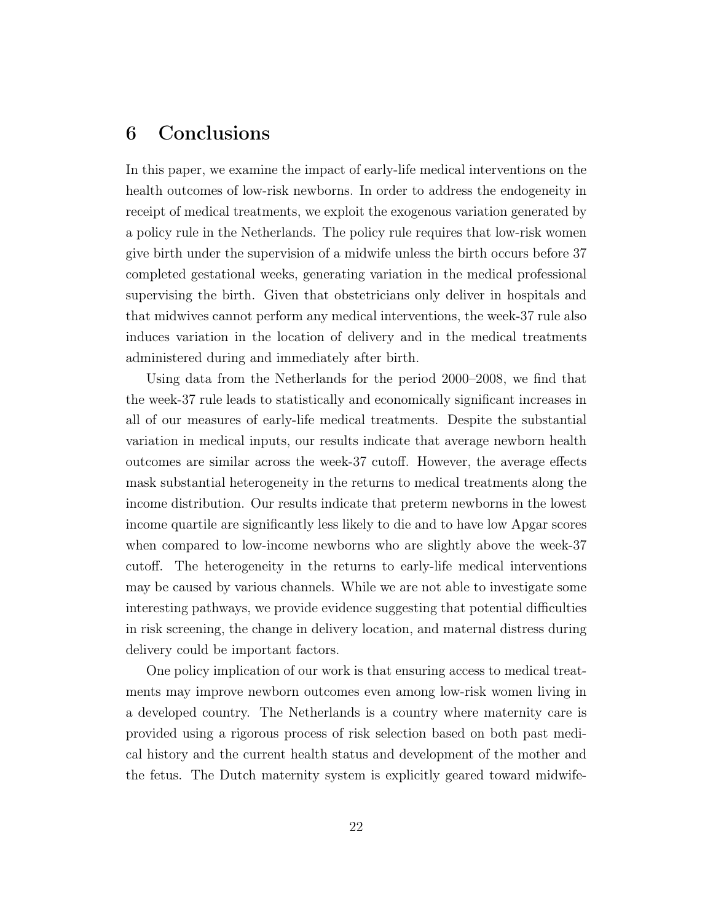## 6 Conclusions

In this paper, we examine the impact of early-life medical interventions on the health outcomes of low-risk newborns. In order to address the endogeneity in receipt of medical treatments, we exploit the exogenous variation generated by a policy rule in the Netherlands. The policy rule requires that low-risk women give birth under the supervision of a midwife unless the birth occurs before 37 completed gestational weeks, generating variation in the medical professional supervising the birth. Given that obstetricians only deliver in hospitals and that midwives cannot perform any medical interventions, the week-37 rule also induces variation in the location of delivery and in the medical treatments administered during and immediately after birth.

Using data from the Netherlands for the period 2000–2008, we find that the week-37 rule leads to statistically and economically significant increases in all of our measures of early-life medical treatments. Despite the substantial variation in medical inputs, our results indicate that average newborn health outcomes are similar across the week-37 cutoff. However, the average effects mask substantial heterogeneity in the returns to medical treatments along the income distribution. Our results indicate that preterm newborns in the lowest income quartile are significantly less likely to die and to have low Apgar scores when compared to low-income newborns who are slightly above the week-37 cutoff. The heterogeneity in the returns to early-life medical interventions may be caused by various channels. While we are not able to investigate some interesting pathways, we provide evidence suggesting that potential difficulties in risk screening, the change in delivery location, and maternal distress during delivery could be important factors.

One policy implication of our work is that ensuring access to medical treatments may improve newborn outcomes even among low-risk women living in a developed country. The Netherlands is a country where maternity care is provided using a rigorous process of risk selection based on both past medical history and the current health status and development of the mother and the fetus. The Dutch maternity system is explicitly geared toward midwife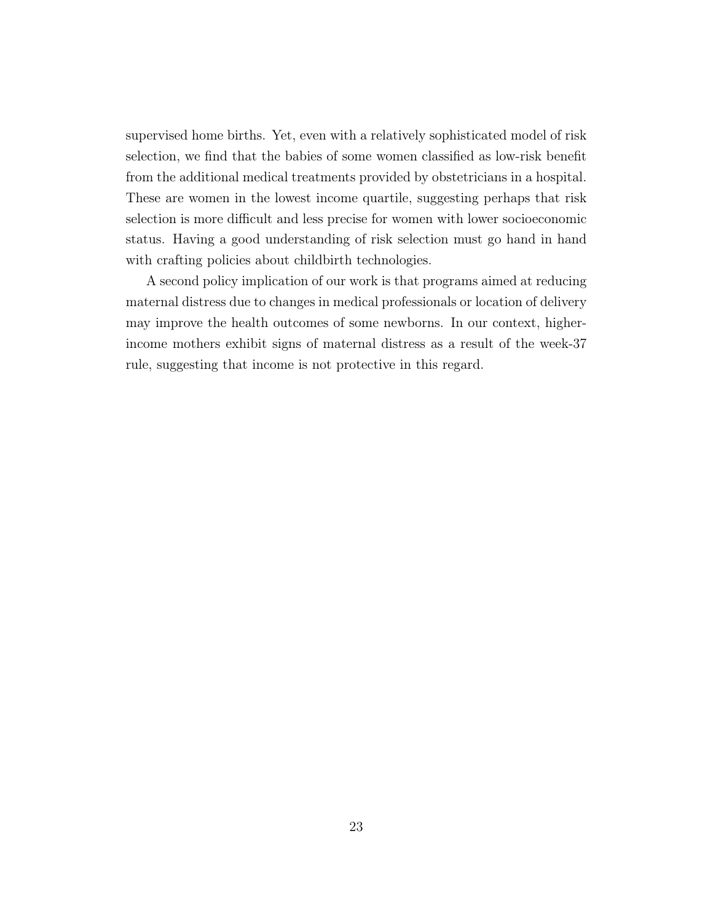supervised home births. Yet, even with a relatively sophisticated model of risk selection, we find that the babies of some women classified as low-risk benefit from the additional medical treatments provided by obstetricians in a hospital. These are women in the lowest income quartile, suggesting perhaps that risk selection is more difficult and less precise for women with lower socioeconomic status. Having a good understanding of risk selection must go hand in hand with crafting policies about childbirth technologies.

A second policy implication of our work is that programs aimed at reducing maternal distress due to changes in medical professionals or location of delivery may improve the health outcomes of some newborns. In our context, higherincome mothers exhibit signs of maternal distress as a result of the week-37 rule, suggesting that income is not protective in this regard.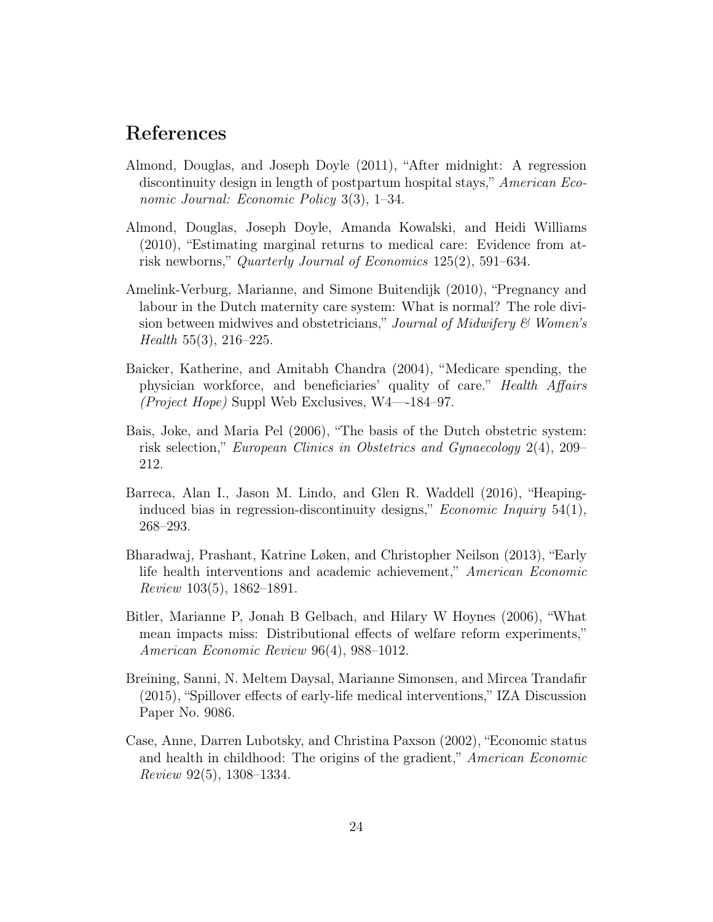#### References

- <span id="page-26-6"></span>Almond, Douglas, and Joseph Doyle (2011), "After midnight: A regression discontinuity design in length of postpartum hospital stays," American Economic Journal: Economic Policy 3(3), 1–34.
- <span id="page-26-1"></span>Almond, Douglas, Joseph Doyle, Amanda Kowalski, and Heidi Williams (2010), "Estimating marginal returns to medical care: Evidence from atrisk newborns," Quarterly Journal of Economics 125(2), 591–634.
- <span id="page-26-7"></span>Amelink-Verburg, Marianne, and Simone Buitendijk (2010), "Pregnancy and labour in the Dutch maternity care system: What is normal? The role division between midwives and obstetricians," Journal of Midwifery  $\mathcal{C}$  Women's Health 55(3), 216–225.
- <span id="page-26-0"></span>Baicker, Katherine, and Amitabh Chandra (2004), "Medicare spending, the physician workforce, and beneficiaries' quality of care." Health Affairs (Project Hope) Suppl Web Exclusives, W4—-184–97.
- <span id="page-26-8"></span>Bais, Joke, and Maria Pel (2006), "The basis of the Dutch obstetric system: risk selection," European Clinics in Obstetrics and Gynaecology 2(4), 209– 212.
- <span id="page-26-9"></span>Barreca, Alan I., Jason M. Lindo, and Glen R. Waddell (2016), "Heapinginduced bias in regression-discontinuity designs," *Economic Inquiry*  $54(1)$ , 268–293.
- <span id="page-26-4"></span>Bharadwaj, Prashant, Katrine Løken, and Christopher Neilson (2013), "Early life health interventions and academic achievement," American Economic Review 103(5), 1862–1891.
- <span id="page-26-2"></span>Bitler, Marianne P, Jonah B Gelbach, and Hilary W Hoynes (2006), "What mean impacts miss: Distributional effects of welfare reform experiments," American Economic Review 96(4), 988–1012.
- <span id="page-26-5"></span>Breining, Sanni, N. Meltem Daysal, Marianne Simonsen, and Mircea Trandafir (2015), "Spillover effects of early-life medical interventions," IZA Discussion Paper No. 9086.
- <span id="page-26-3"></span>Case, Anne, Darren Lubotsky, and Christina Paxson (2002), "Economic status and health in childhood: The origins of the gradient," American Economic Review 92(5), 1308–1334.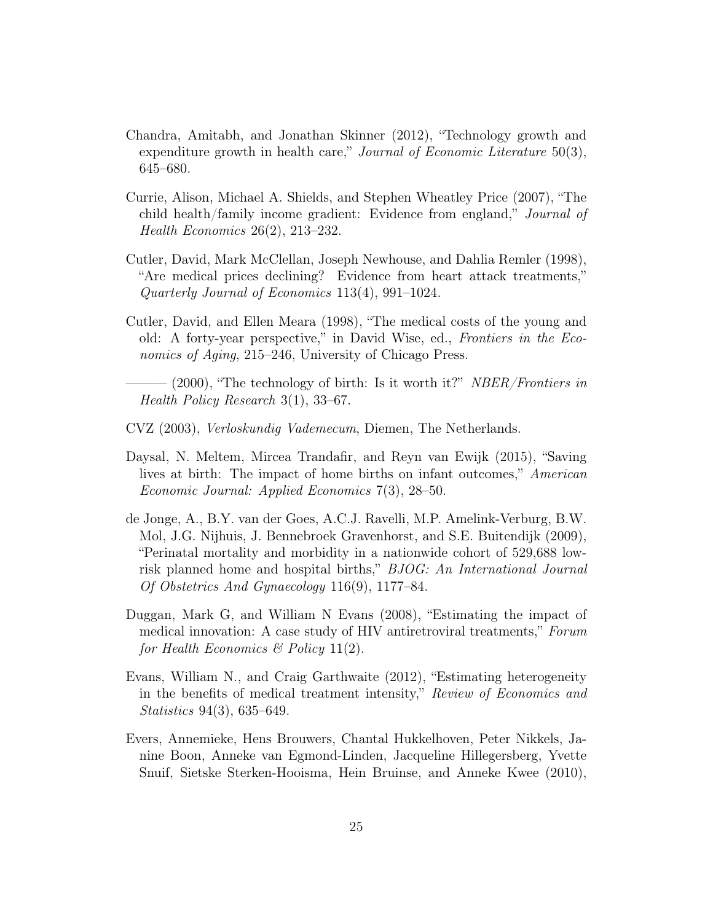- <span id="page-27-7"></span>Chandra, Amitabh, and Jonathan Skinner (2012), "Technology growth and expenditure growth in health care," Journal of Economic Literature  $50(3)$ , 645–680.
- <span id="page-27-2"></span>Currie, Alison, Michael A. Shields, and Stephen Wheatley Price (2007), "The child health/family income gradient: Evidence from england," Journal of Health Economics 26(2), 213–232.
- <span id="page-27-4"></span>Cutler, David, Mark McClellan, Joseph Newhouse, and Dahlia Remler (1998), "Are medical prices declining? Evidence from heart attack treatments," Quarterly Journal of Economics 113(4), 991–1024.
- <span id="page-27-1"></span>Cutler, David, and Ellen Meara (1998), "The medical costs of the young and old: A forty-year perspective," in David Wise, ed., Frontiers in the Economics of Aging, 215–246, University of Chicago Press.
	- $-$  (2000), "The technology of birth: Is it worth it?" NBER/Frontiers in Health Policy Research 3(1), 33–67.
- <span id="page-27-9"></span><span id="page-27-6"></span>CVZ (2003), Verloskundig Vademecum, Diemen, The Netherlands.
- <span id="page-27-0"></span>Daysal, N. Meltem, Mircea Trandafir, and Reyn van Ewijk (2015), "Saving lives at birth: The impact of home births on infant outcomes," American Economic Journal: Applied Economics 7(3), 28–50.
- <span id="page-27-3"></span>de Jonge, A., B.Y. van der Goes, A.C.J. Ravelli, M.P. Amelink-Verburg, B.W. Mol, J.G. Nijhuis, J. Bennebroek Gravenhorst, and S.E. Buitendijk (2009), "Perinatal mortality and morbidity in a nationwide cohort of 529,688 lowrisk planned home and hospital births," BJOG: An International Journal Of Obstetrics And Gynaecology 116(9), 1177–84.
- <span id="page-27-5"></span>Duggan, Mark G, and William N Evans (2008), "Estimating the impact of medical innovation: A case study of HIV antiretroviral treatments," Forum for Health Economics  $\mathcal C$  Policy 11(2).
- <span id="page-27-8"></span>Evans, William N., and Craig Garthwaite (2012), "Estimating heterogeneity in the benefits of medical treatment intensity," Review of Economics and Statistics 94(3), 635–649.
- <span id="page-27-10"></span>Evers, Annemieke, Hens Brouwers, Chantal Hukkelhoven, Peter Nikkels, Janine Boon, Anneke van Egmond-Linden, Jacqueline Hillegersberg, Yvette Snuif, Sietske Sterken-Hooisma, Hein Bruinse, and Anneke Kwee (2010),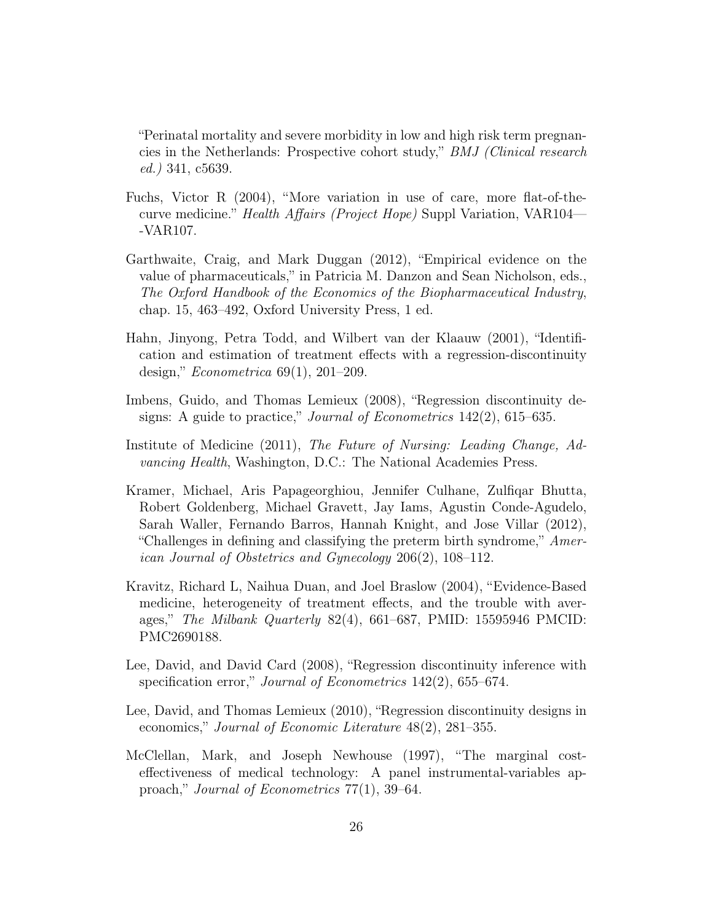"Perinatal mortality and severe morbidity in low and high risk term pregnancies in the Netherlands: Prospective cohort study," BMJ (Clinical research ed.) 341, c5639.

- <span id="page-28-0"></span>Fuchs, Victor R (2004), "More variation in use of care, more flat-of-thecurve medicine." Health Affairs (Project Hope) Suppl Variation, VAR104— -VAR107.
- <span id="page-28-2"></span>Garthwaite, Craig, and Mark Duggan (2012), "Empirical evidence on the value of pharmaceuticals," in Patricia M. Danzon and Sean Nicholson, eds., The Oxford Handbook of the Economics of the Biopharmaceutical Industry, chap. 15, 463–492, Oxford University Press, 1 ed.
- <span id="page-28-5"></span>Hahn, Jinyong, Petra Todd, and Wilbert van der Klaauw (2001), "Identification and estimation of treatment effects with a regression-discontinuity design," Econometrica 69(1), 201–209.
- <span id="page-28-6"></span>Imbens, Guido, and Thomas Lemieux (2008), "Regression discontinuity designs: A guide to practice," *Journal of Econometrics* 142(2), 615–635.
- <span id="page-28-4"></span>Institute of Medicine (2011), The Future of Nursing: Leading Change, Advancing Health, Washington, D.C.: The National Academies Press.
- <span id="page-28-8"></span>Kramer, Michael, Aris Papageorghiou, Jennifer Culhane, Zulfiqar Bhutta, Robert Goldenberg, Michael Gravett, Jay Iams, Agustin Conde-Agudelo, Sarah Waller, Fernando Barros, Hannah Knight, and Jose Villar (2012), "Challenges in defining and classifying the preterm birth syndrome,"  $Amer$ ican Journal of Obstetrics and Gynecology 206(2), 108–112.
- <span id="page-28-3"></span>Kravitz, Richard L, Naihua Duan, and Joel Braslow (2004), "Evidence-Based medicine, heterogeneity of treatment effects, and the trouble with averages," The Milbank Quarterly  $82(4)$ , 661–687, PMID: 15595946 PMCID: PMC2690188.
- <span id="page-28-9"></span>Lee, David, and David Card (2008), "Regression discontinuity inference with specification error," Journal of Econometrics 142(2), 655–674.
- <span id="page-28-7"></span>Lee, David, and Thomas Lemieux (2010), "Regression discontinuity designs in economics," Journal of Economic Literature 48(2), 281–355.
- <span id="page-28-1"></span>McClellan, Mark, and Joseph Newhouse (1997), "The marginal costeffectiveness of medical technology: A panel instrumental-variables approach," Journal of Econometrics 77(1), 39–64.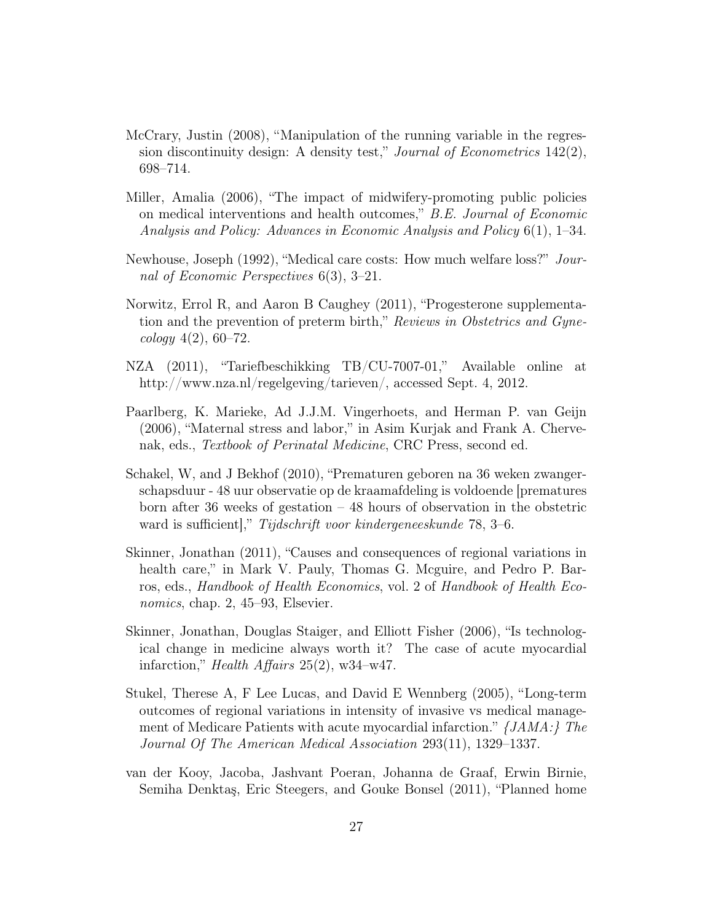- <span id="page-29-8"></span>McCrary, Justin (2008), "Manipulation of the running variable in the regression discontinuity design: A density test," Journal of Econometrics  $142(2)$ , 698–714.
- <span id="page-29-4"></span>Miller, Amalia (2006), "The impact of midwifery-promoting public policies on medical interventions and health outcomes," B.E. Journal of Economic Analysis and Policy: Advances in Economic Analysis and Policy 6(1), 1–34.
- <span id="page-29-2"></span>Newhouse, Joseph (1992), "Medical care costs: How much welfare loss?" Journal of Economic Perspectives 6(3), 3–21.
- <span id="page-29-6"></span>Norwitz, Errol R, and Aaron B Caughey (2011), "Progesterone supplementation and the prevention of preterm birth," Reviews in Obstetrics and Gyne $cology \; 4(2), \; 60-72.$
- <span id="page-29-9"></span>NZA (2011), "Tariefbeschikking TB/CU-7007-01," Available online at http://www.nza.nl/regelgeving/tarieven/, accessed Sept. 4, 2012.
- <span id="page-29-10"></span>Paarlberg, K. Marieke, Ad J.J.M. Vingerhoets, and Herman P. van Geijn (2006), "Maternal stress and labor," in Asim Kurjak and Frank A. Chervenak, eds., Textbook of Perinatal Medicine, CRC Press, second ed.
- <span id="page-29-5"></span>Schakel, W, and J Bekhof (2010), "Prematuren geboren na 36 weken zwangerschapsduur - 48 uur observatie op de kraamafdeling is voldoende [prematures born after 36 weeks of gestation – 48 hours of observation in the obstetric ward is sufficient]," Tijdschrift voor kindergeneeskunde 78, 3–6.
- <span id="page-29-0"></span>Skinner, Jonathan (2011), "Causes and consequences of regional variations in health care," in Mark V. Pauly, Thomas G. Mcguire, and Pedro P. Barros, eds., Handbook of Health Economics, vol. 2 of Handbook of Health Economics, chap. 2, 45–93, Elsevier.
- <span id="page-29-3"></span>Skinner, Jonathan, Douglas Staiger, and Elliott Fisher (2006), "Is technological change in medicine always worth it? The case of acute myocardial infarction," Health Affairs 25(2), w34–w47.
- <span id="page-29-1"></span>Stukel, Therese A, F Lee Lucas, and David E Wennberg (2005), "Long-term outcomes of regional variations in intensity of invasive vs medical management of Medicare Patients with acute myocardial infarction." {JAMA:} The Journal Of The American Medical Association 293(11), 1329–1337.
- <span id="page-29-7"></span>van der Kooy, Jacoba, Jashvant Poeran, Johanna de Graaf, Erwin Birnie, Semiha Denktaş, Eric Steegers, and Gouke Bonsel (2011), "Planned home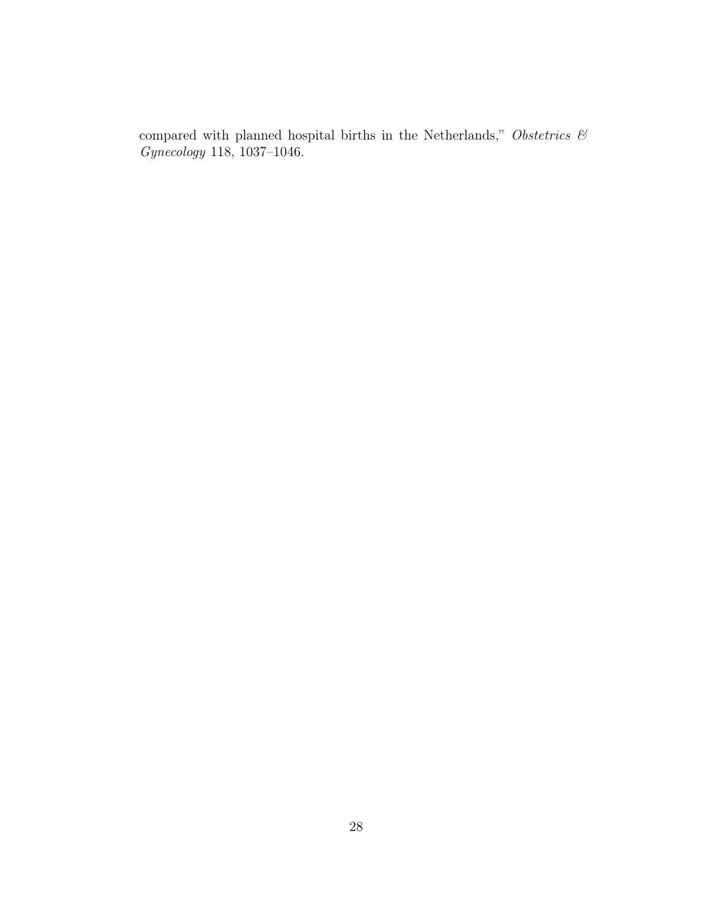compared with planned hospital births in the Netherlands," Obstetrics  $\mathcal C$ Gynecology 118, 1037–1046.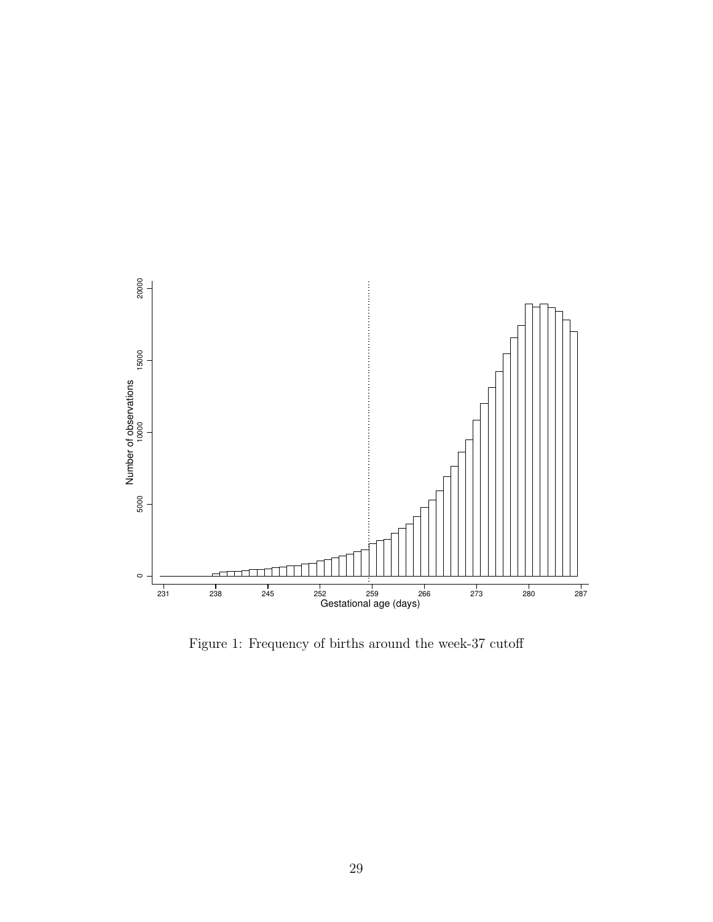<span id="page-31-0"></span>

Figure 1: Frequency of births around the week-37 cutoff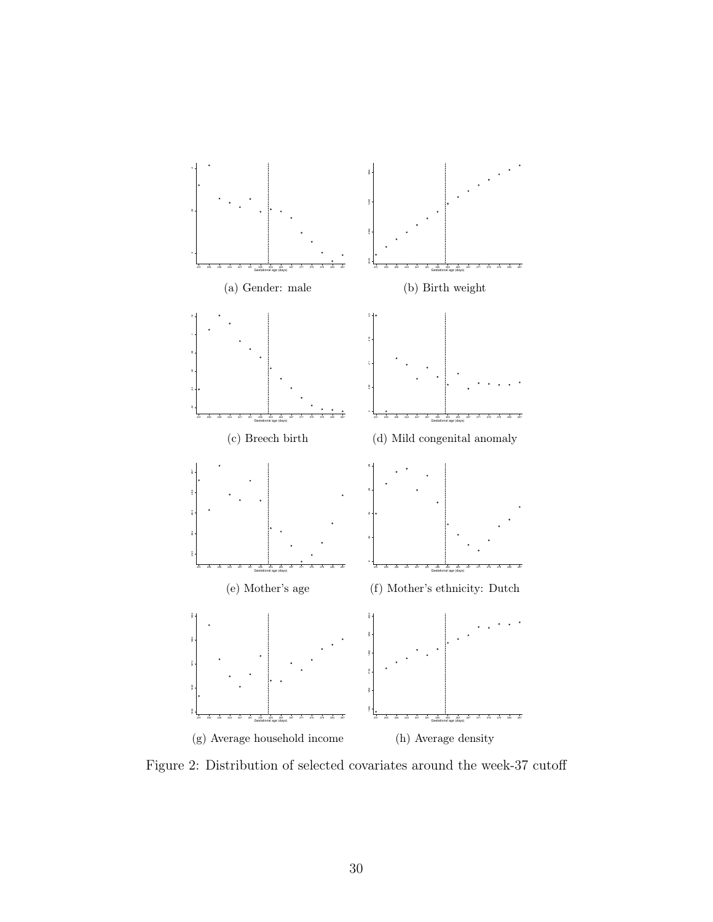<span id="page-32-0"></span>

Figure 2: Distribution of selected covariates around the week-37 cutoff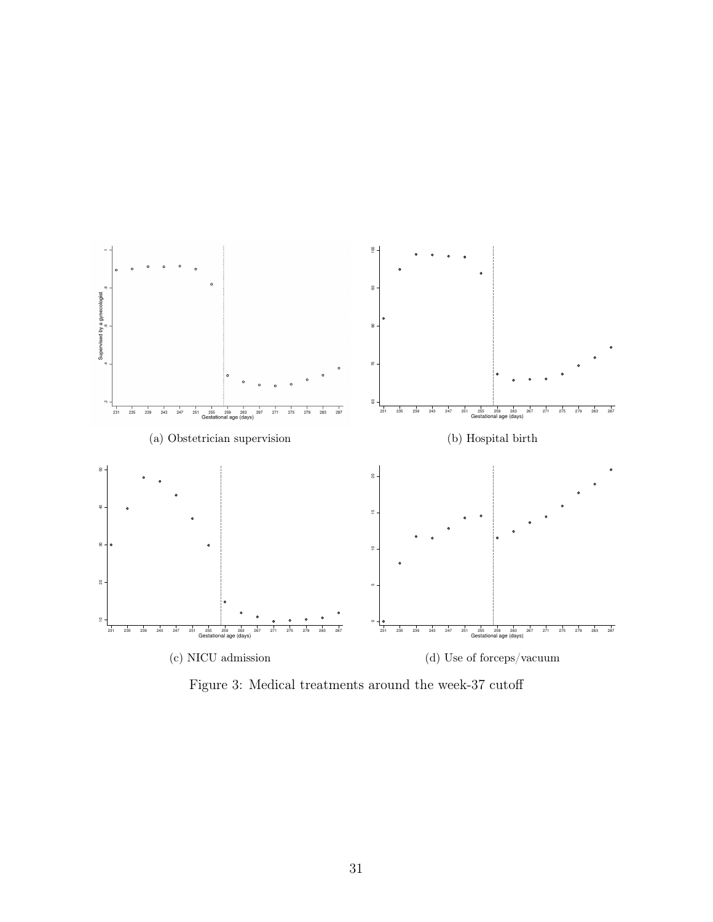<span id="page-33-0"></span>

Figure 3: Medical treatments around the week-37 cutoff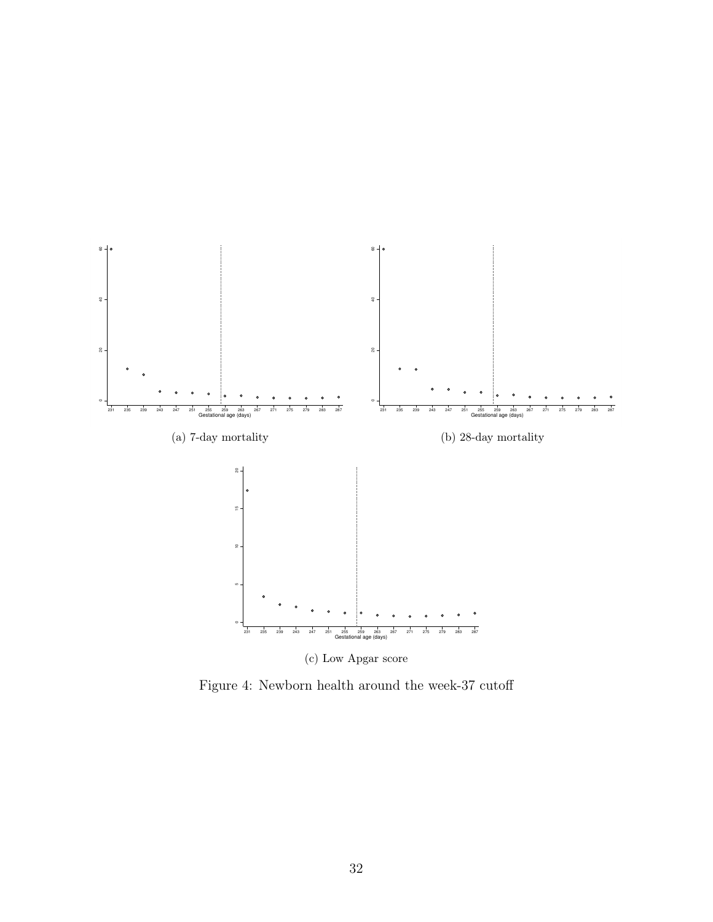<span id="page-34-0"></span>

Figure 4: Newborn health around the week-37 cutoff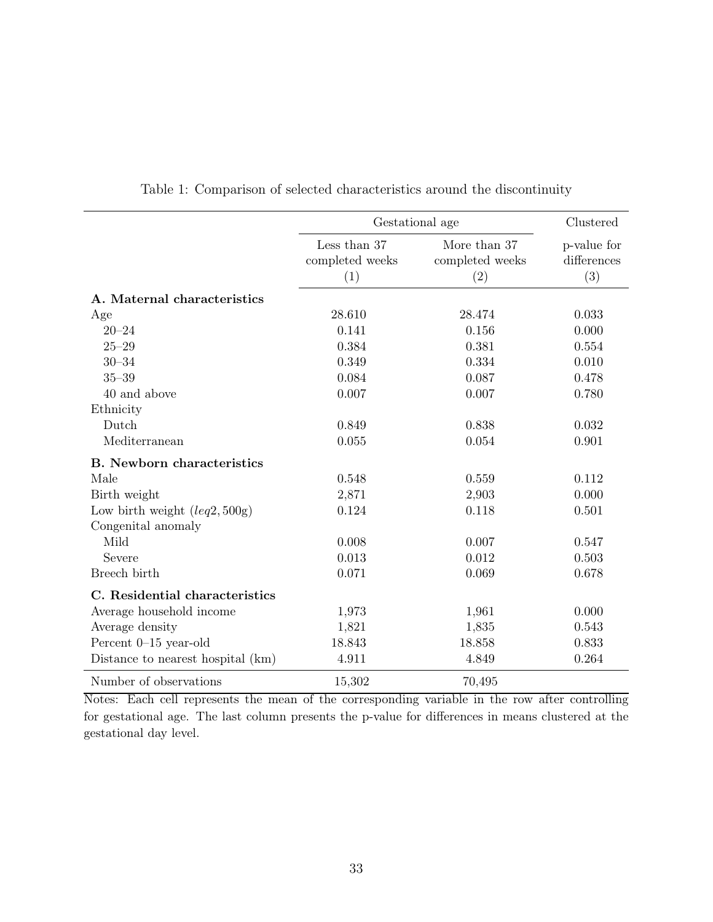<span id="page-35-0"></span>

|                                   |                                        | Gestational age                        | Clustered                         |
|-----------------------------------|----------------------------------------|----------------------------------------|-----------------------------------|
|                                   | Less than 37<br>completed weeks<br>(1) | More than 37<br>completed weeks<br>(2) | p-value for<br>differences<br>(3) |
| A. Maternal characteristics       |                                        |                                        |                                   |
| Age                               | 28.610                                 | 28.474                                 | 0.033                             |
| $20 - 24$                         | 0.141                                  | 0.156                                  | 0.000                             |
| $25 - 29$                         | 0.384                                  | 0.381                                  | 0.554                             |
| $30 - 34$                         | 0.349                                  | 0.334                                  | 0.010                             |
| $35 - 39$                         | 0.084                                  | 0.087                                  | 0.478                             |
| 40 and above                      | 0.007                                  | 0.007                                  | 0.780                             |
| Ethnicity                         |                                        |                                        |                                   |
| Dutch                             | 0.849                                  | 0.838                                  | 0.032                             |
| Mediterranean                     | 0.055                                  | 0.054                                  | 0.901                             |
| <b>B.</b> Newborn characteristics |                                        |                                        |                                   |
| Male                              | 0.548                                  | 0.559                                  | 0.112                             |
| Birth weight                      | 2,871                                  | 2,903                                  | 0.000                             |
| Low birth weight $(leq 2, 500g)$  | 0.124                                  | 0.118                                  | 0.501                             |
| Congenital anomaly                |                                        |                                        |                                   |
| Mild                              | 0.008                                  | 0.007                                  | 0.547                             |
| Severe                            | 0.013                                  | 0.012                                  | 0.503                             |
| Breech birth                      | 0.071                                  | 0.069                                  | 0.678                             |
| C. Residential characteristics    |                                        |                                        |                                   |
| Average household income          | 1,973                                  | 1,961                                  | 0.000                             |
| Average density                   | 1,821                                  | 1,835                                  | 0.543                             |
| Percent 0-15 year-old             | 18.843                                 | 18.858                                 | 0.833                             |
| Distance to nearest hospital (km) | 4.911                                  | 4.849                                  | 0.264                             |
| Number of observations            | 15,302                                 | 70,495                                 |                                   |

Table 1: Comparison of selected characteristics around the discontinuity

Notes: Each cell represents the mean of the corresponding variable in the row after controlling for gestational age. The last column presents the p-value for differences in means clustered at the gestational day level.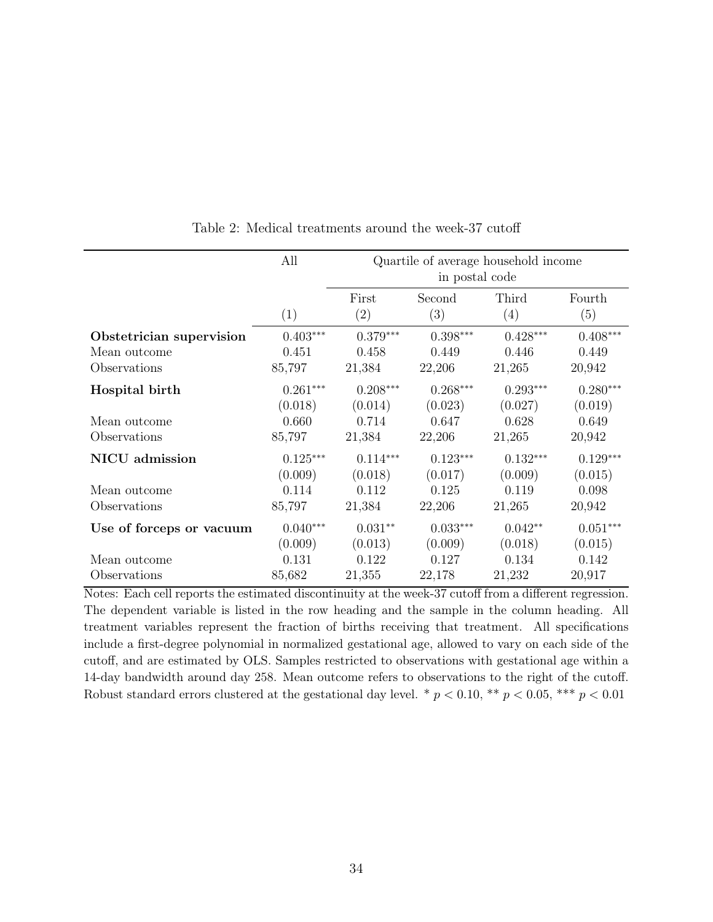<span id="page-36-0"></span>

|                          | All        |              | Quartile of average household income<br>in postal code |              |               |
|--------------------------|------------|--------------|--------------------------------------------------------|--------------|---------------|
|                          | (1)        | First<br>(2) | Second<br>(3)                                          | Third<br>(4) | Fourth<br>(5) |
| Obstetrician supervision | $0.403***$ | $0.379***$   | $0.398***$                                             | $0.428***$   | $0.408***$    |
| Mean outcome             | 0.451      | 0.458        | 0.449                                                  | 0.446        | 0.449         |
| Observations             | 85,797     | 21,384       | 22,206                                                 | 21,265       | 20,942        |
| Hospital birth           | $0.261***$ | $0.208***$   | $0.268***$                                             | $0.293***$   | $0.280***$    |
|                          | (0.018)    | (0.014)      | (0.023)                                                | (0.027)      | (0.019)       |
| Mean outcome             | 0.660      | 0.714        | 0.647                                                  | 0.628        | 0.649         |
| Observations             | 85,797     | 21,384       | 22,206                                                 | 21,265       | 20,942        |
| NICU admission           | $0.125***$ | $0.114***$   | $0.123***$                                             | $0.132***$   | $0.129***$    |
|                          | (0.009)    | (0.018)      | (0.017)                                                | (0.009)      | (0.015)       |
| Mean outcome             | 0.114      | 0.112        | 0.125                                                  | 0.119        | 0.098         |
| Observations             | 85,797     | 21,384       | 22,206                                                 | 21,265       | 20,942        |
| Use of forceps or vacuum | $0.040***$ | $0.031**$    | $0.033***$                                             | $0.042**$    | $0.051***$    |
|                          | (0.009)    | (0.013)      | (0.009)                                                | (0.018)      | (0.015)       |
| Mean outcome             | 0.131      | 0.122        | 0.127                                                  | 0.134        | 0.142         |
| Observations             | 85,682     | 21,355       | 22,178                                                 | 21,232       | 20,917        |

Table 2: Medical treatments around the week-37 cutoff

Notes: Each cell reports the estimated discontinuity at the week-37 cutoff from a different regression. The dependent variable is listed in the row heading and the sample in the column heading. All treatment variables represent the fraction of births receiving that treatment. All specifications include a first-degree polynomial in normalized gestational age, allowed to vary on each side of the cutoff, and are estimated by OLS. Samples restricted to observations with gestational age within a 14-day bandwidth around day 258. Mean outcome refers to observations to the right of the cutoff. Robust standard errors clustered at the gestational day level. \*  $p < 0.10$ , \*\*  $p < 0.05$ , \*\*\*  $p < 0.01$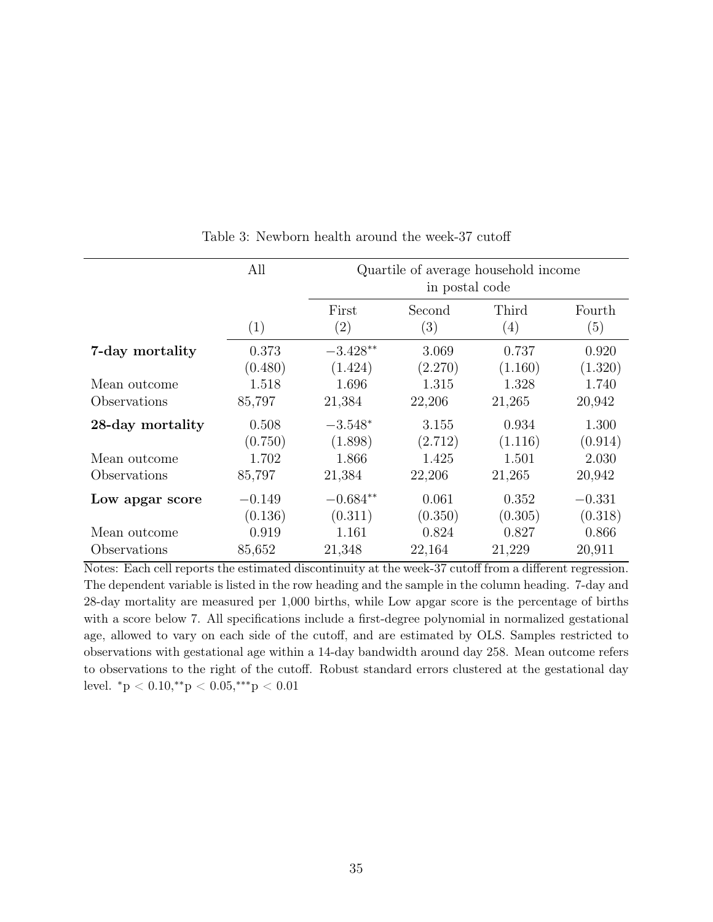<span id="page-37-0"></span>

|                  | All                 |                            | in postal code   | Quartile of average household income |                     |
|------------------|---------------------|----------------------------|------------------|--------------------------------------|---------------------|
|                  | (1)                 | First<br>$\left( 2\right)$ | Second<br>(3)    | Third<br>(4)                         | Fourth<br>(5)       |
| 7-day mortality  | 0.373<br>(0.480)    | $-3.428**$<br>(1.424)      | 3.069<br>(2.270) | 0.737<br>(1.160)                     | 0.920<br>(1.320)    |
| Mean outcome     | 1.518               | 1.696                      | 1.315            | 1.328                                | 1.740               |
| Observations     | 85,797              | 21,384                     | 22,206           | 21,265                               | 20,942              |
| 28-day mortality | 0.508<br>(0.750)    | $-3.548*$<br>(1.898)       | 3.155<br>(2.712) | 0.934<br>(1.116)                     | 1.300<br>(0.914)    |
| Mean outcome     | 1.702               | 1.866                      | 1.425            | 1.501                                | 2.030               |
| Observations     | 85,797              | 21,384                     | 22,206           | 21,265                               | 20,942              |
| Low apgar score  | $-0.149$<br>(0.136) | $-0.684**$<br>(0.311)      | 0.061<br>(0.350) | 0.352<br>(0.305)                     | $-0.331$<br>(0.318) |
| Mean outcome     | 0.919               | 1.161                      | 0.824            | 0.827                                | 0.866               |
| Observations     | 85,652              | 21,348                     | 22,164           | 21,229                               | 20,911              |

Table 3: Newborn health around the week-37 cutoff

Notes: Each cell reports the estimated discontinuity at the week-37 cutoff from a different regression. The dependent variable is listed in the row heading and the sample in the column heading. 7-day and 28-day mortality are measured per 1,000 births, while Low apgar score is the percentage of births with a score below 7. All specifications include a first-degree polynomial in normalized gestational age, allowed to vary on each side of the cutoff, and are estimated by OLS. Samples restricted to observations with gestational age within a 14-day bandwidth around day 258. Mean outcome refers to observations to the right of the cutoff. Robust standard errors clustered at the gestational day level.  $^*p < 0.10, ^{**}p < 0.05, ^{***}p < 0.01$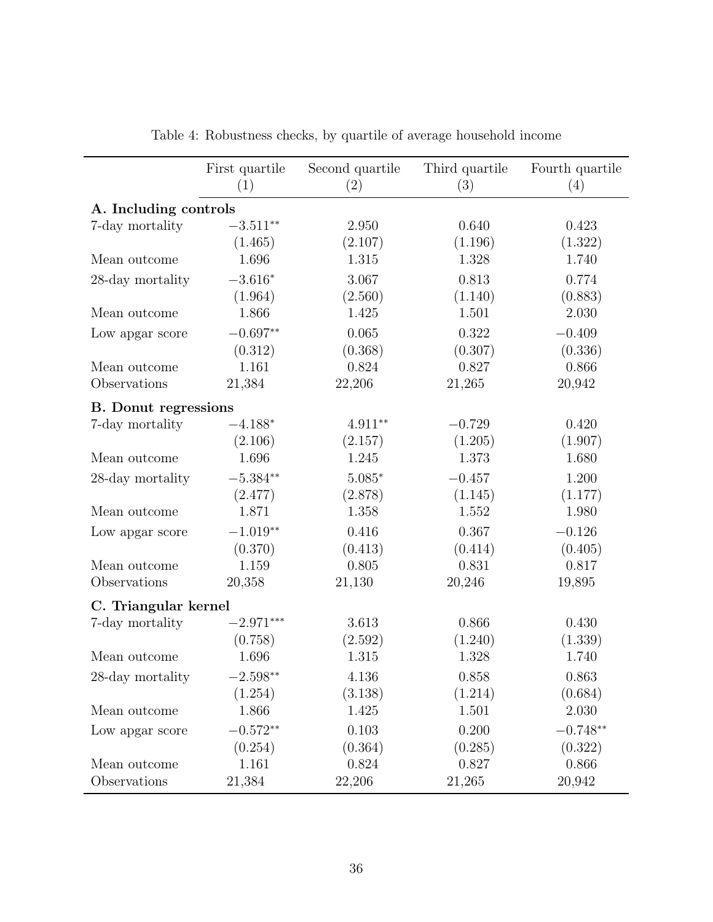<span id="page-38-0"></span>

|                             | First quartile<br>(1) | Second quartile<br>(2) | Third quartile<br>(3) | Fourth quartile<br>(4) |
|-----------------------------|-----------------------|------------------------|-----------------------|------------------------|
| A. Including controls       |                       |                        |                       |                        |
| 7-day mortality             | $-3.511**$            | 2.950                  | 0.640                 | 0.423                  |
|                             | (1.465)               | (2.107)                | (1.196)               | (1.322)                |
| Mean outcome                | 1.696                 | 1.315                  | 1.328                 | 1.740                  |
| 28-day mortality            | $-3.616*$             | 3.067                  | 0.813                 | 0.774                  |
|                             | (1.964)               | (2.560)                | (1.140)               | (0.883)                |
| Mean outcome                | 1.866                 | 1.425                  | 1.501                 | 2.030                  |
| Low apgar score             | $-0.697**$            | 0.065                  | 0.322                 | $-0.409$               |
|                             | (0.312)               | (0.368)                | (0.307)               | (0.336)                |
| Mean outcome                | 1.161                 | 0.824                  | 0.827                 | 0.866                  |
| Observations                | 21,384                | 22,206                 | 21,265                | 20,942                 |
| <b>B.</b> Donut regressions |                       |                        |                       |                        |
| 7-day mortality             | $-4.188*$             | $4.911**$              | $-0.729$              | 0.420                  |
|                             | (2.106)               | (2.157)                | (1.205)               | (1.907)                |
| Mean outcome                | 1.696                 | 1.245                  | 1.373                 | 1.680                  |
| 28-day mortality            | $-5.384**$            | $5.085*$               | $-0.457$              | 1.200                  |
|                             | (2.477)               | (2.878)                | (1.145)               | (1.177)                |
| Mean outcome                | 1.871                 | 1.358                  | 1.552                 | 1.980                  |
| Low apgar score             | $-1.019**$            | 0.416                  | 0.367                 | $-0.126$               |
|                             | (0.370)               | (0.413)                | (0.414)               | (0.405)                |
| Mean outcome                | 1.159                 | 0.805                  | 0.831                 | 0.817                  |
| Observations                | 20,358                | 21,130                 | 20,246                | 19,895                 |
| C. Triangular kernel        |                       |                        |                       |                        |
| 7-day mortality             | $-2.971***$           | 3.613                  | 0.866                 | 0.430                  |
|                             | (0.758)               | (2.592)                | (1.240)               | (1.339)                |
| Mean outcome                | 1.696                 | 1.315                  | 1.328                 | 1.740                  |
| 28-day mortality            | $-2.598**$            | 4.136                  | 0.858                 | 0.863                  |
|                             | (1.254)               | (3.138)                | (1.214)               | (0.684)                |
| Mean outcome                | 1.866                 | 1.425                  | 1.501                 | 2.030                  |
| Low apgar score             | $-0.572**$            | 0.103                  | 0.200                 | $-0.748**$             |
|                             | (0.254)               | (0.364)                | (0.285)               | (0.322)                |
| Mean outcome                | 1.161                 | 0.824                  | 0.827                 | 0.866                  |
| Observations                | 21,384                | 22,206                 | 21,265                | 20,942                 |

Table 4: Robustness checks, by quartile of average household income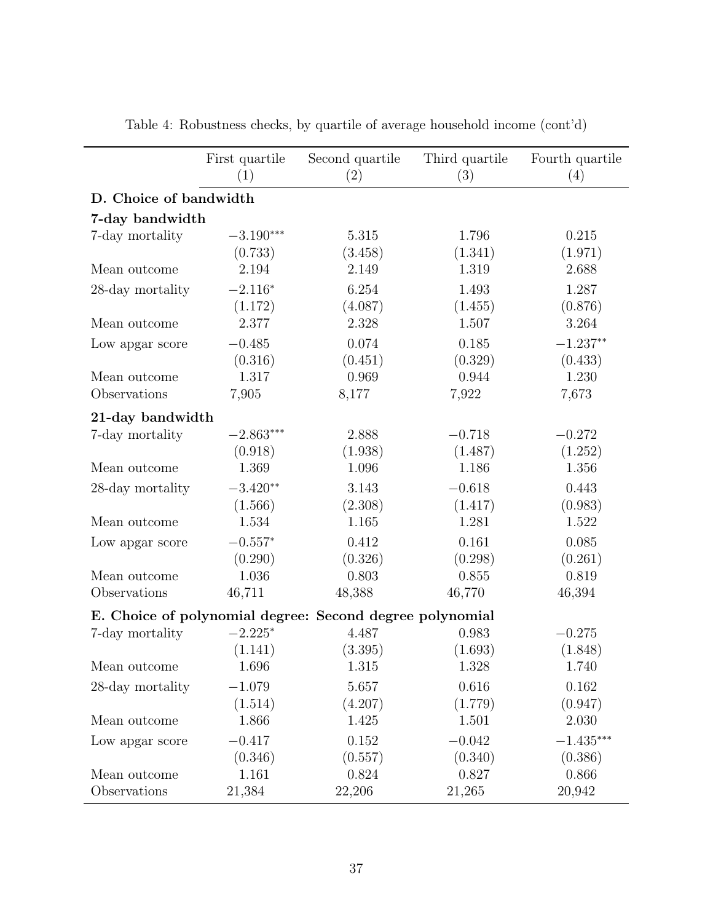|                        | First quartile<br>(1) | Second quartile<br>(2)                                   | Third quartile<br>(3) | Fourth quartile<br>(4) |
|------------------------|-----------------------|----------------------------------------------------------|-----------------------|------------------------|
| D. Choice of bandwidth |                       |                                                          |                       |                        |
| 7-day bandwidth        |                       |                                                          |                       |                        |
| 7-day mortality        | $-3.190***$           | 5.315                                                    | 1.796                 | 0.215                  |
|                        | (0.733)               | (3.458)                                                  | (1.341)               | (1.971)                |
| Mean outcome           | 2.194                 | 2.149                                                    | 1.319                 | 2.688                  |
| 28-day mortality       | $-2.116*$             | 6.254                                                    | 1.493                 | 1.287                  |
|                        | (1.172)               | (4.087)                                                  | (1.455)               | (0.876)                |
| Mean outcome           | 2.377                 | 2.328                                                    | 1.507                 | 3.264                  |
| Low apgar score        | $-0.485$              | 0.074                                                    | 0.185                 | $-1.237**$             |
|                        | (0.316)               | (0.451)                                                  | (0.329)               | (0.433)                |
| Mean outcome           | 1.317                 | 0.969                                                    | 0.944                 | 1.230                  |
| Observations           | 7,905                 | 8,177                                                    | 7,922                 | 7,673                  |
| 21-day bandwidth       |                       |                                                          |                       |                        |
| 7-day mortality        | $-2.863***$           | 2.888                                                    | $-0.718$              | $-0.272$               |
|                        | (0.918)               | (1.938)                                                  | (1.487)               | (1.252)                |
| Mean outcome           | 1.369                 | 1.096                                                    | 1.186                 | 1.356                  |
| 28-day mortality       | $-3.420**$            | 3.143                                                    | $-0.618$              | 0.443                  |
|                        | (1.566)               | (2.308)                                                  | (1.417)               | (0.983)                |
| Mean outcome           | 1.534                 | 1.165                                                    | 1.281                 | 1.522                  |
| Low apgar score        | $-0.557*$             | 0.412                                                    | 0.161                 | 0.085                  |
|                        | (0.290)               | (0.326)                                                  | (0.298)               | (0.261)                |
| Mean outcome           | 1.036                 | 0.803                                                    | 0.855                 | 0.819                  |
| Observations           | 46,711                | 48,388                                                   | 46,770                | 46,394                 |
|                        |                       | E. Choice of polynomial degree: Second degree polynomial |                       |                        |
| 7-day mortality        | $-2.225*$             | 4.487                                                    | 0.983                 | $-0.275$               |
|                        | (1.141)               | (3.395)                                                  | (1.693)               | (1.848)                |
| Mean outcome           | 1.696                 | 1.315                                                    | 1.328                 | 1.740                  |
| 28-day mortality       | $-1.079$              | 5.657                                                    | 0.616                 | 0.162                  |
|                        | (1.514)               | (4.207)                                                  | (1.779)               | (0.947)                |
| Mean outcome           | 1.866                 | 1.425                                                    | 1.501                 | 2.030                  |
| Low apgar score        | $-0.417$              | 0.152                                                    | $-0.042$              | $-1.435***$            |
|                        | (0.346)               | (0.557)                                                  | (0.340)               | (0.386)                |
| Mean outcome           | 1.161                 | 0.824                                                    | 0.827                 | 0.866                  |
| Observations           | 21,384                | 22,206                                                   | 21,265                | 20,942                 |

Table 4: Robustness checks, by quartile of average household income (cont'd)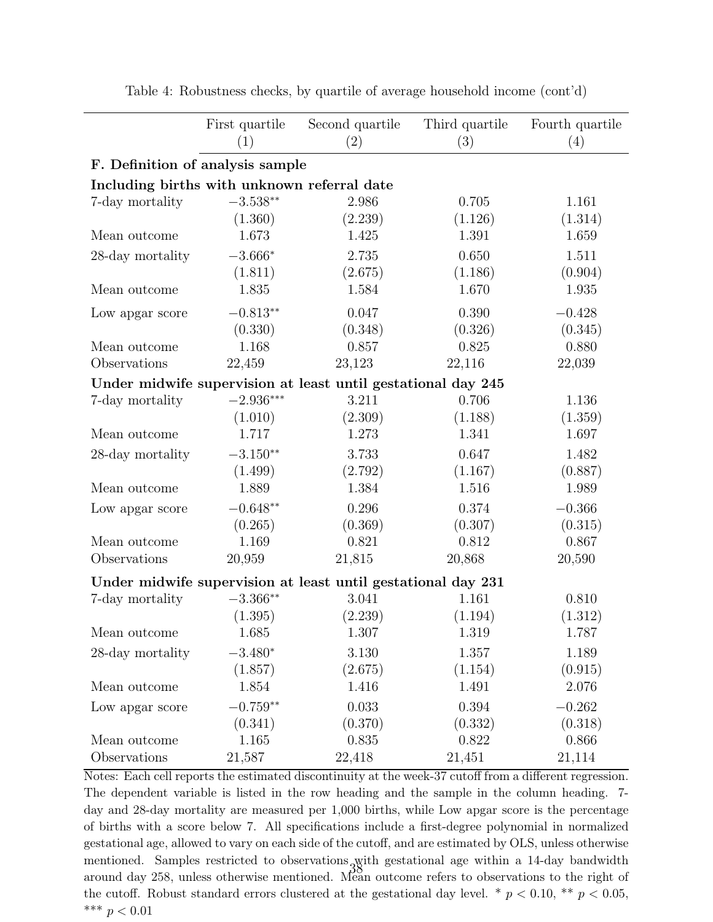|                                             | First quartile<br>(1) | Second quartile<br>(2)                                       | Third quartile<br>(3) | Fourth quartile<br>(4) |
|---------------------------------------------|-----------------------|--------------------------------------------------------------|-----------------------|------------------------|
| F. Definition of analysis sample            |                       |                                                              |                       |                        |
| Including births with unknown referral date |                       |                                                              |                       |                        |
| 7-day mortality                             | $-3.538**$            | 2.986                                                        | 0.705                 | 1.161                  |
|                                             | (1.360)               | (2.239)                                                      | (1.126)               | (1.314)                |
| Mean outcome                                | 1.673                 | 1.425                                                        | 1.391                 | 1.659                  |
| 28-day mortality                            | $-3.666*$             | 2.735                                                        | 0.650                 | 1.511                  |
|                                             | (1.811)               | (2.675)                                                      | (1.186)               | (0.904)                |
| Mean outcome                                | 1.835                 | 1.584                                                        | 1.670                 | 1.935                  |
| Low apgar score                             | $-0.813**$            | 0.047                                                        | 0.390                 | $-0.428$               |
|                                             | (0.330)               | (0.348)                                                      | (0.326)               | (0.345)                |
| Mean outcome                                | 1.168                 | 0.857                                                        | 0.825                 | 0.880                  |
| Observations                                | 22,459                | 23,123                                                       | 22,116                | 22,039                 |
|                                             |                       | Under midwife supervision at least until gestational day 245 |                       |                        |
| 7-day mortality                             | $-2.936***$           | 3.211                                                        | 0.706                 | 1.136                  |
|                                             | (1.010)               | (2.309)                                                      | (1.188)               | (1.359)                |
| Mean outcome                                | 1.717                 | 1.273                                                        | 1.341                 | 1.697                  |
| 28-day mortality                            | $-3.150**$            | 3.733                                                        | 0.647                 | 1.482                  |
|                                             | (1.499)               | (2.792)                                                      | (1.167)               | (0.887)                |
| Mean outcome                                | 1.889                 | 1.384                                                        | 1.516                 | 1.989                  |
| Low apgar score                             | $-0.648**$            | 0.296                                                        | 0.374                 | $-0.366$               |
|                                             | (0.265)               | (0.369)                                                      | (0.307)               | (0.315)                |
| Mean outcome                                | 1.169                 | 0.821                                                        | 0.812                 | 0.867                  |
| Observations                                | 20,959                | 21,815                                                       | 20,868                | 20,590                 |
|                                             |                       | Under midwife supervision at least until gestational day 231 |                       |                        |
| 7-day mortality                             | $-3.366**$            | 3.041                                                        | 1.161                 | 0.810                  |
|                                             | (1.395)               | (2.239)                                                      | (1.194)               | (1.312)                |
| Mean outcome                                | 1.685                 | 1.307                                                        | 1.319                 | 1.787                  |
| 28-day mortality                            | $-3.480*$             | 3.130                                                        | 1.357                 | 1.189                  |
|                                             | (1.857)               | (2.675)                                                      | (1.154)               | (0.915)                |
| Mean outcome                                | 1.854                 | 1.416                                                        | 1.491                 | 2.076                  |
| Low apgar score                             | $-0.759**$            | 0.033                                                        | 0.394                 | $-0.262$               |
|                                             | (0.341)               | (0.370)                                                      | (0.332)               | (0.318)                |
| Mean outcome                                | 1.165                 | 0.835                                                        | 0.822                 | 0.866                  |
| Observations                                | 21,587                | 22,418                                                       | 21,451                | 21,114                 |

Table 4: Robustness checks, by quartile of average household income (cont'd)

 $\overline{a}$ 

Notes: Each cell reports the estimated discontinuity at the week-37 cutoff from a different regression. The dependent variable is listed in the row heading and the sample in the column heading. 7 day and 28-day mortality are measured per 1,000 births, while Low apgar score is the percentage of births with a score below 7. All specifications include a first-degree polynomial in normalized gestational age, allowed to vary on each side of the cutoff, and are estimated by OLS, unless otherwise mentioned. Samples restricted to observations with gestational age within a 14-day bandwidth around day 258, unless otherwise mentioned. Mean outcome refers to observations to the right of the cutoff. Robust standard errors clustered at the gestational day level. \*  $p < 0.10$ , \*\*  $p < 0.05$ , \*\*\*  $p < 0.01$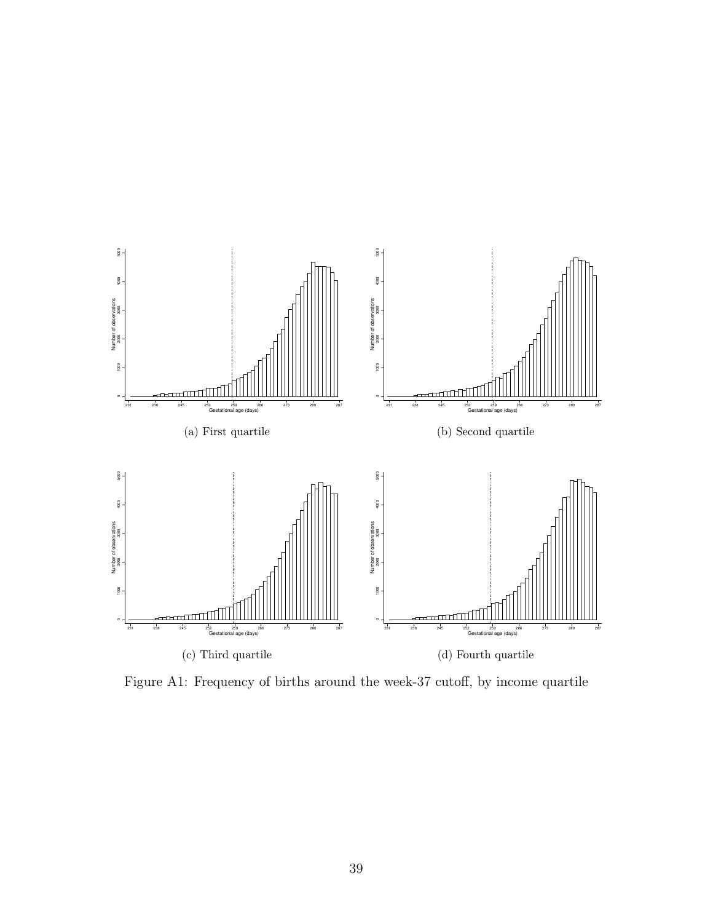<span id="page-41-0"></span>

Figure A1: Frequency of births around the week-37 cutoff, by income quartile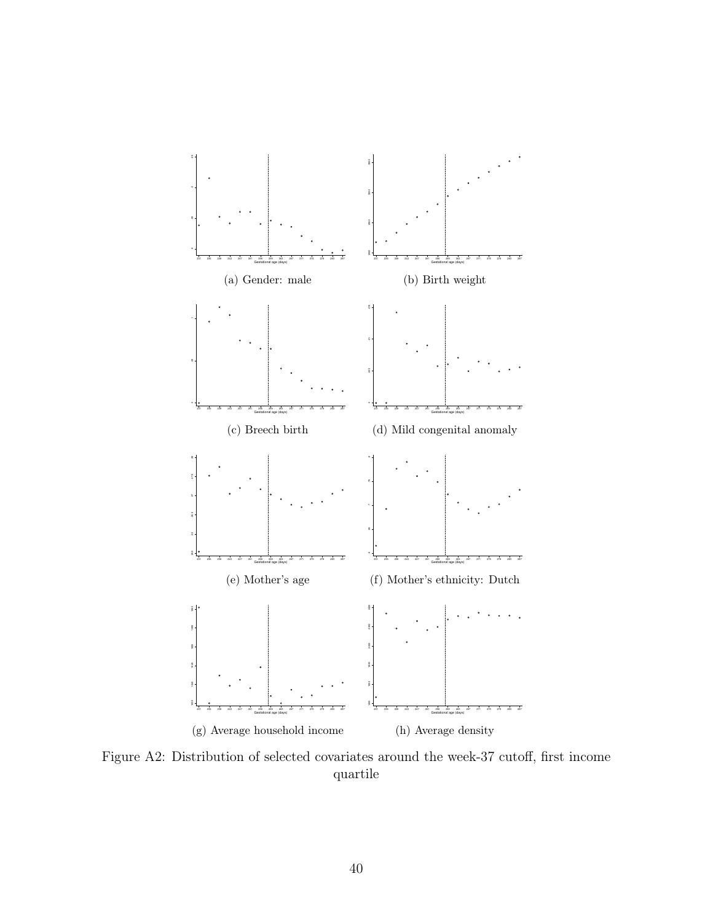<span id="page-42-0"></span>

Figure A2: Distribution of selected covariates around the week-37 cutoff, first income quartile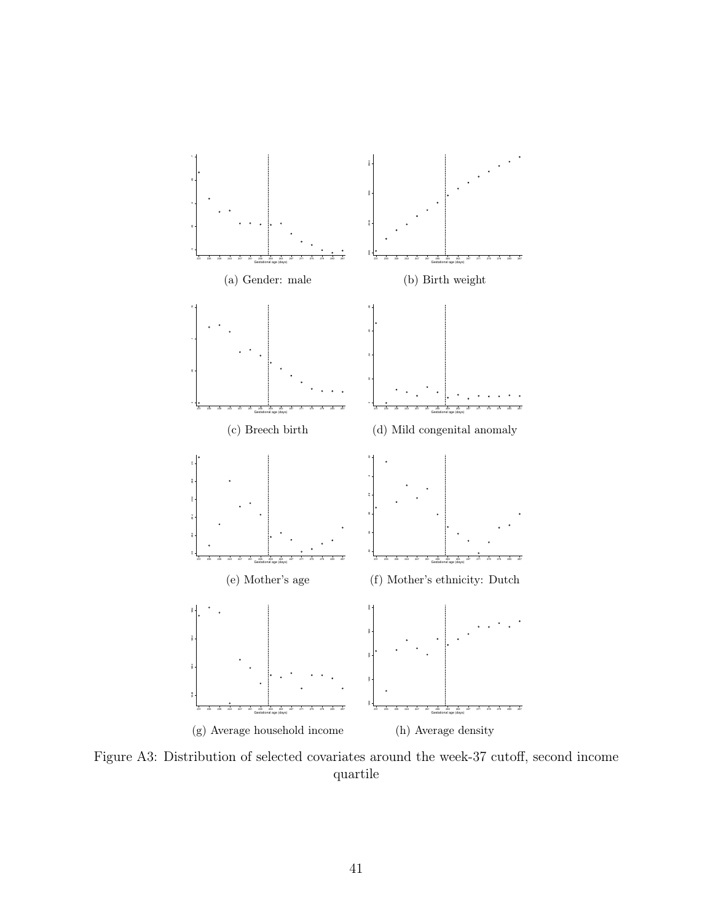

Figure A3: Distribution of selected covariates around the week-37 cutoff, second income quartile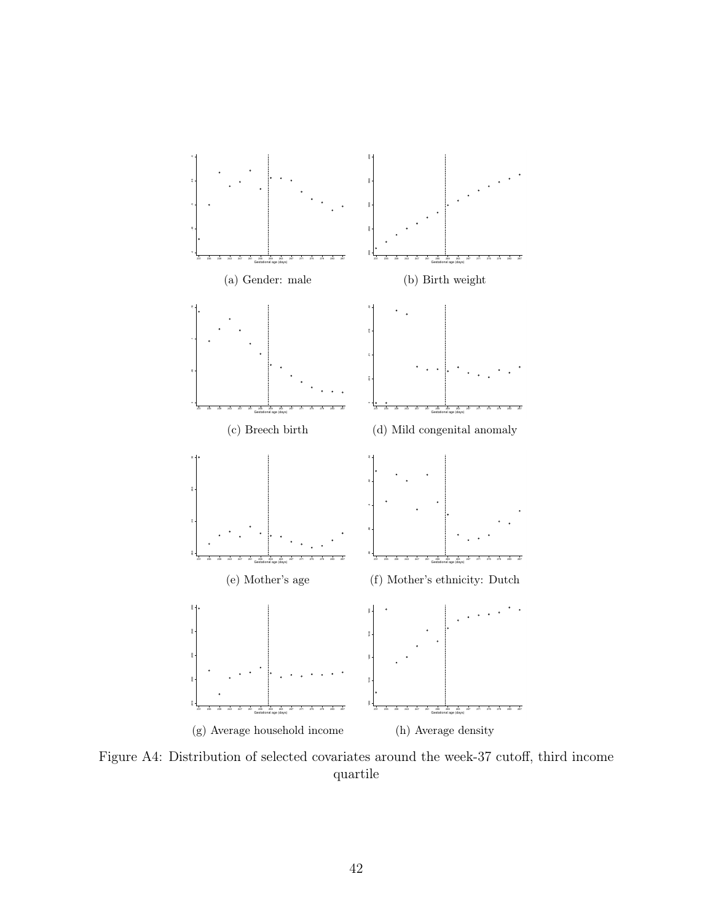

Figure A4: Distribution of selected covariates around the week-37 cutoff, third income quartile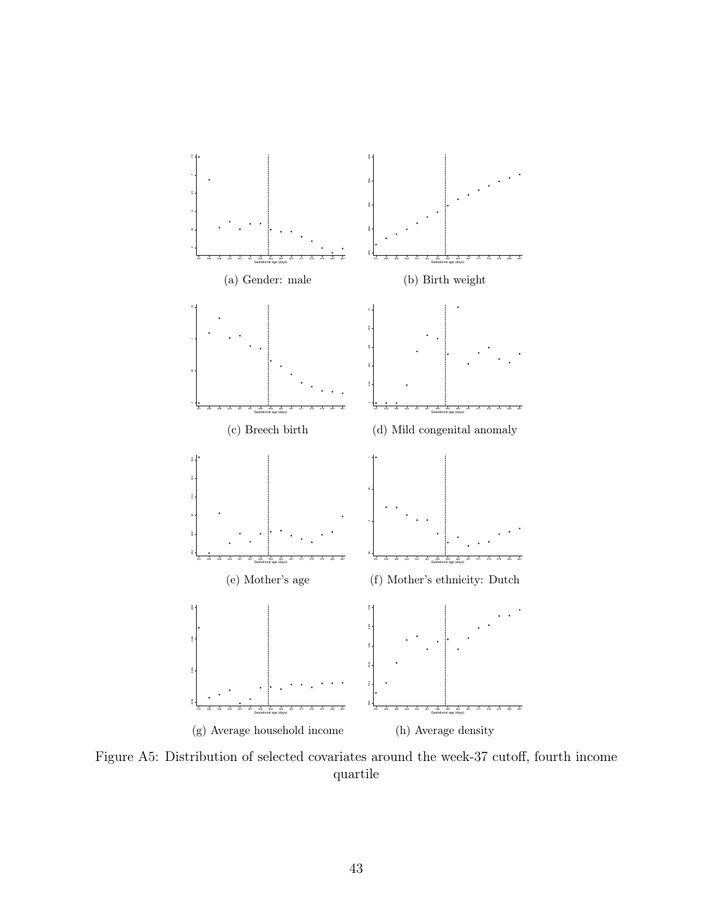<span id="page-45-0"></span>

Figure A5: Distribution of selected covariates around the week-37 cutoff, fourth income quartile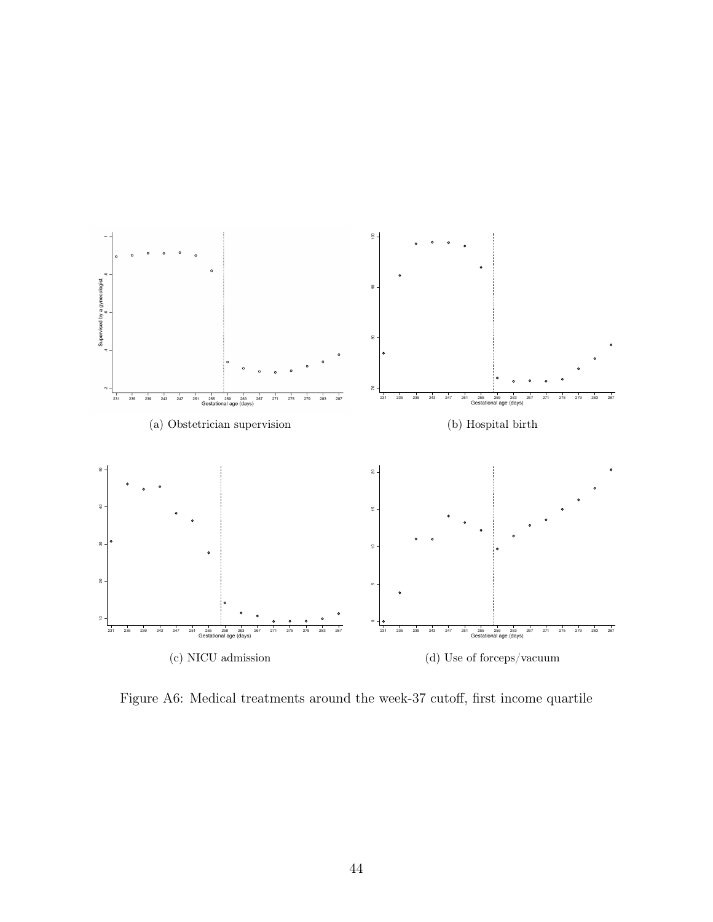<span id="page-46-0"></span>

Figure A6: Medical treatments around the week-37 cutoff, first income quartile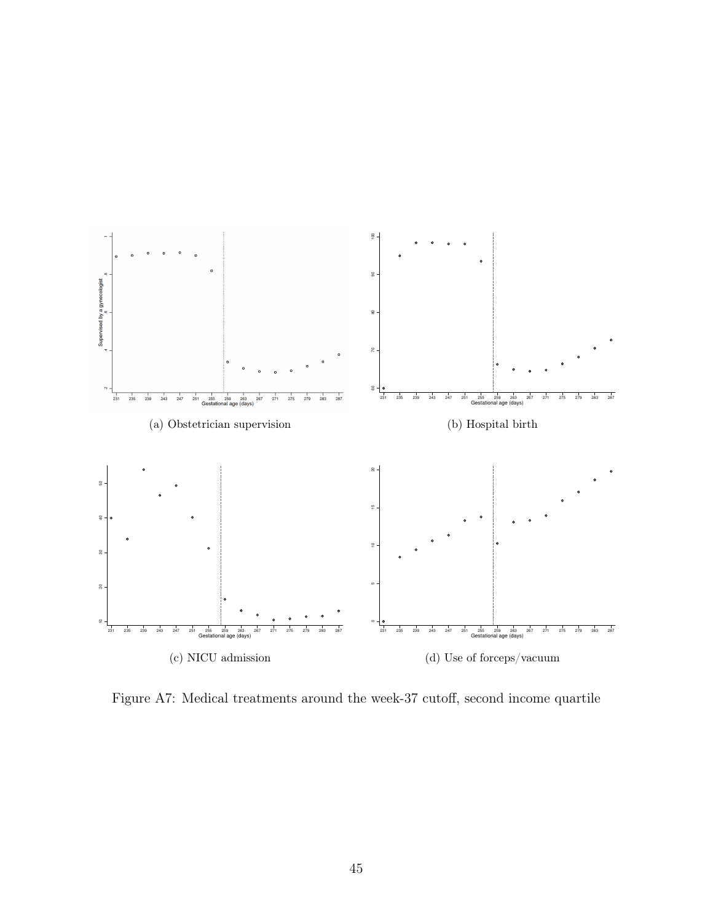

Figure A7: Medical treatments around the week-37 cutoff, second income quartile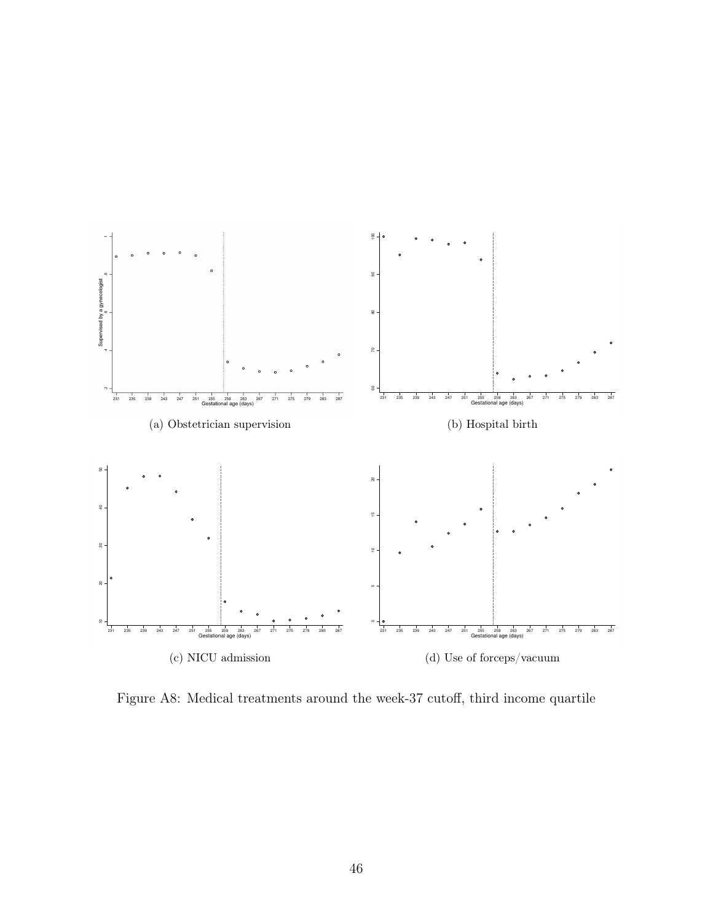

Figure A8: Medical treatments around the week-37 cutoff, third income quartile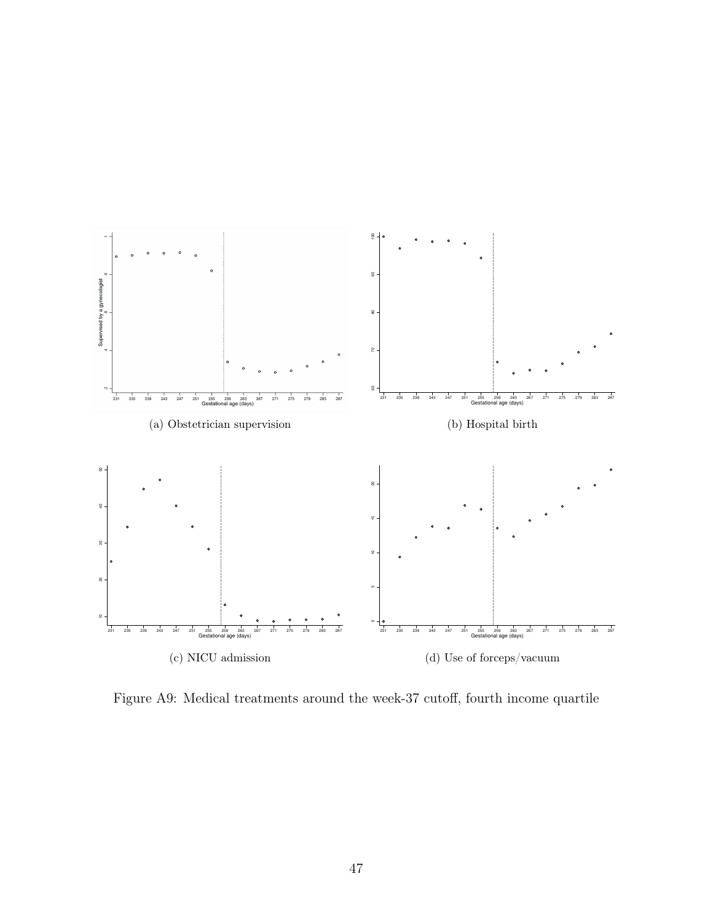<span id="page-49-0"></span>

Figure A9: Medical treatments around the week-37 cutoff, fourth income quartile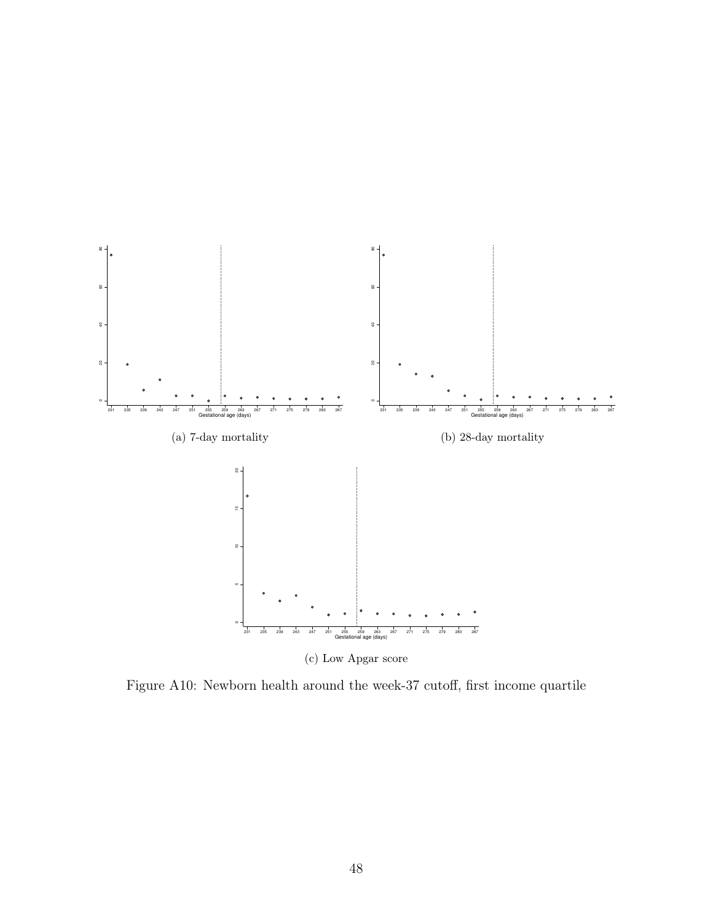<span id="page-50-0"></span>

Figure A10: Newborn health around the week-37 cutoff, first income quartile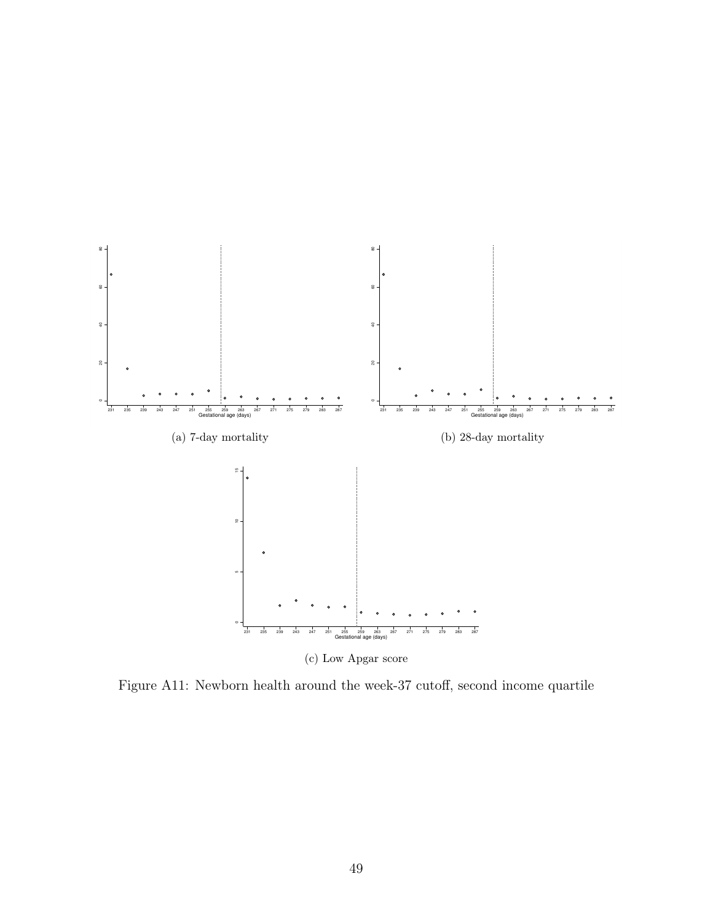

Figure A11: Newborn health around the week-37 cutoff, second income quartile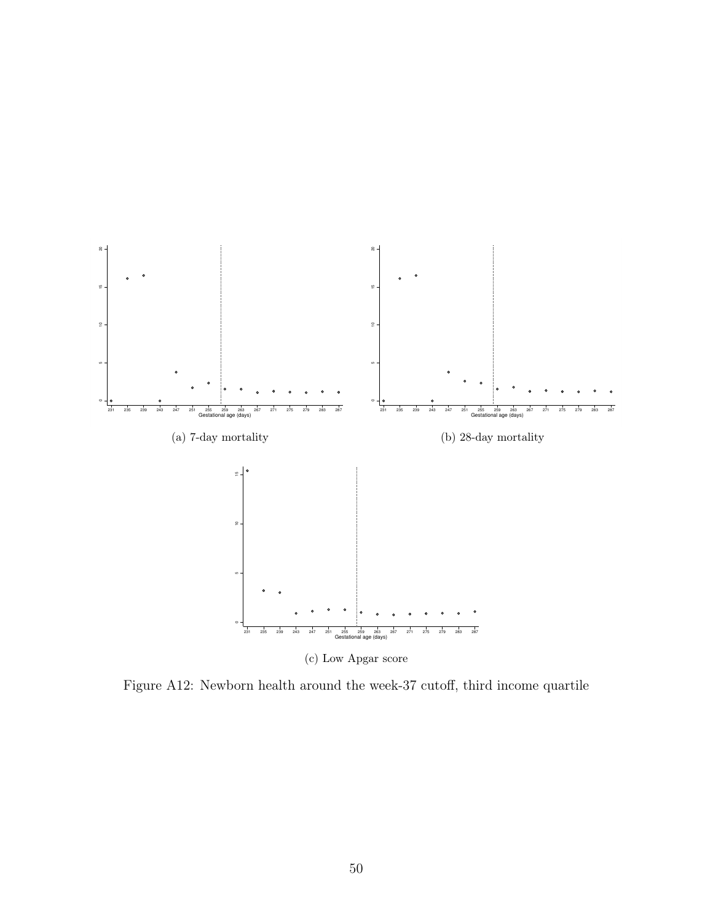

Figure A12: Newborn health around the week-37 cutoff, third income quartile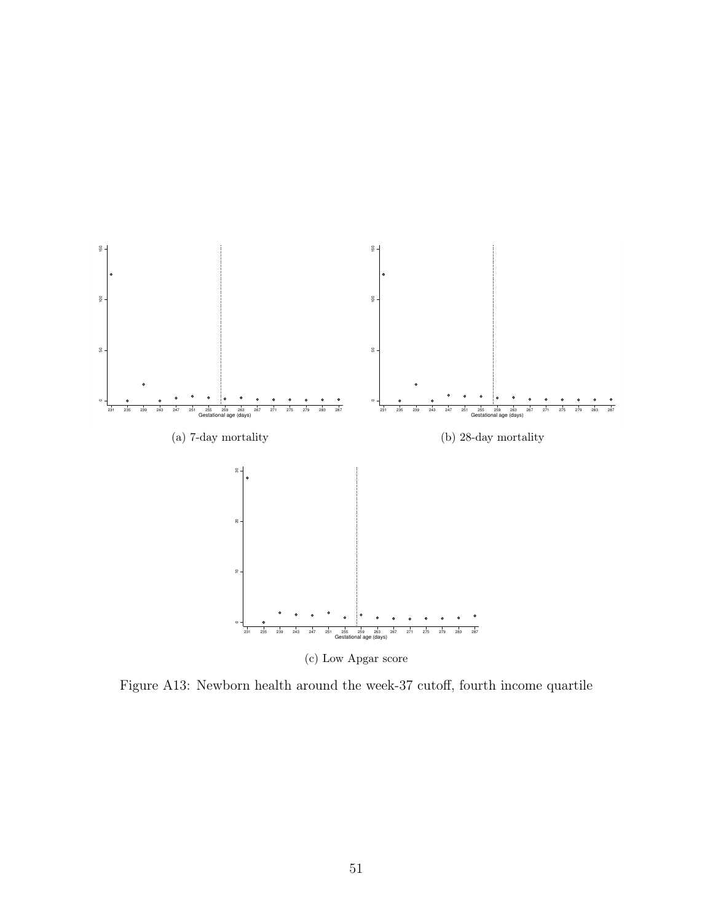<span id="page-53-0"></span>

Figure A13: Newborn health around the week-37 cutoff, fourth income quartile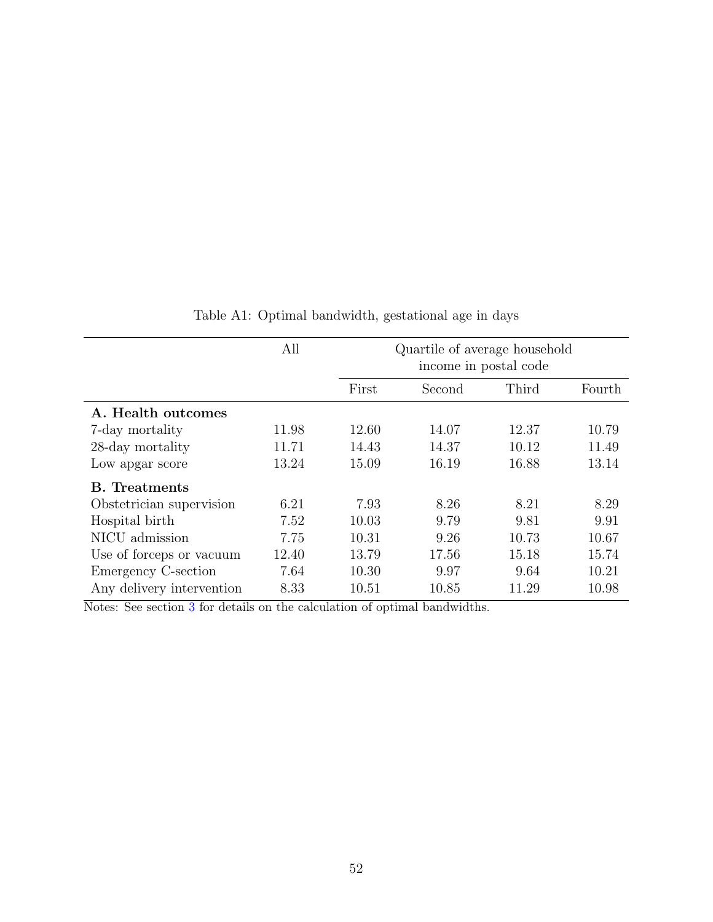<span id="page-54-0"></span>

|                           | All   |       | Quartile of average household<br>income in postal code |       |        |
|---------------------------|-------|-------|--------------------------------------------------------|-------|--------|
|                           |       | First | Second                                                 | Third | Fourth |
| A. Health outcomes        |       |       |                                                        |       |        |
| 7-day mortality           | 11.98 | 12.60 | 14.07                                                  | 12.37 | 10.79  |
| 28-day mortality          | 11.71 | 14.43 | 14.37                                                  | 10.12 | 11.49  |
| Low apgar score           | 13.24 | 15.09 | 16.19                                                  | 16.88 | 13.14  |
| <b>B.</b> Treatments      |       |       |                                                        |       |        |
| Obstetrician supervision  | 6.21  | 7.93  | 8.26                                                   | 8.21  | 8.29   |
| Hospital birth            | 7.52  | 10.03 | 9.79                                                   | 9.81  | 9.91   |
| NICU admission            | 7.75  | 10.31 | 9.26                                                   | 10.73 | 10.67  |
| Use of forceps or vacuum  | 12.40 | 13.79 | 17.56                                                  | 15.18 | 15.74  |
| Emergency C-section       | 7.64  | 10.30 | 9.97                                                   | 9.64  | 10.21  |
| Any delivery intervention | 8.33  | 10.51 | 10.85                                                  | 11.29 | 10.98  |

Table A1: Optimal bandwidth, gestational age in days

Notes: See section [3](#page-10-0) for details on the calculation of optimal bandwidths.